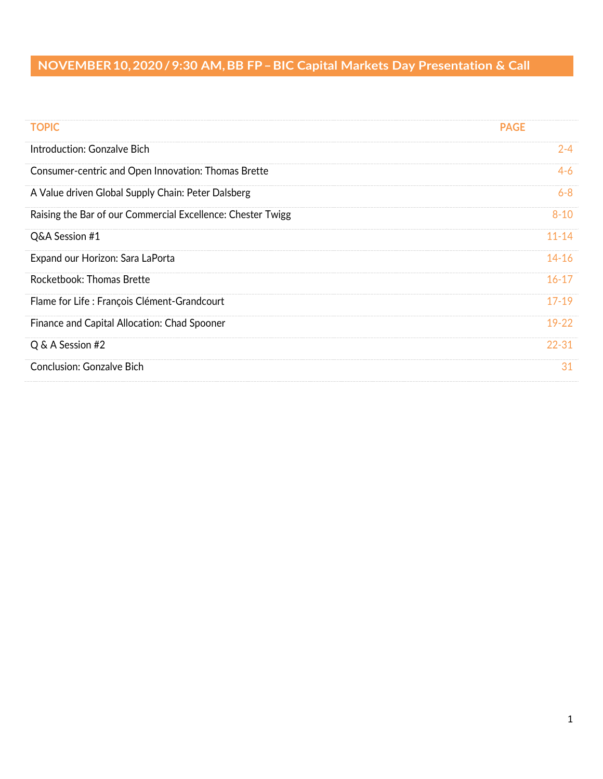| <b>TOPIC</b>                                                | <b>PAGE</b> |
|-------------------------------------------------------------|-------------|
| Introduction: Gonzalve Bich                                 | $2 - 4$     |
| Consumer-centric and Open Innovation: Thomas Brette         | $4 - 6$     |
| A Value driven Global Supply Chain: Peter Dalsberg          | $6 - 8$     |
| Raising the Bar of our Commercial Excellence: Chester Twigg | $8 - 10$    |
| Q&A Session #1                                              | $11 - 14$   |
| Expand our Horizon: Sara LaPorta                            | $14 - 16$   |
| Rocketbook: Thomas Brette                                   | $16 - 17$   |
| Flame for Life: François Clément-Grandcourt                 | $17 - 19$   |
| Finance and Capital Allocation: Chad Spooner                | $19 - 22$   |
| Q & A Session #2                                            | $22 - 31$   |
| <b>Conclusion: Gonzalve Bich</b>                            | 31          |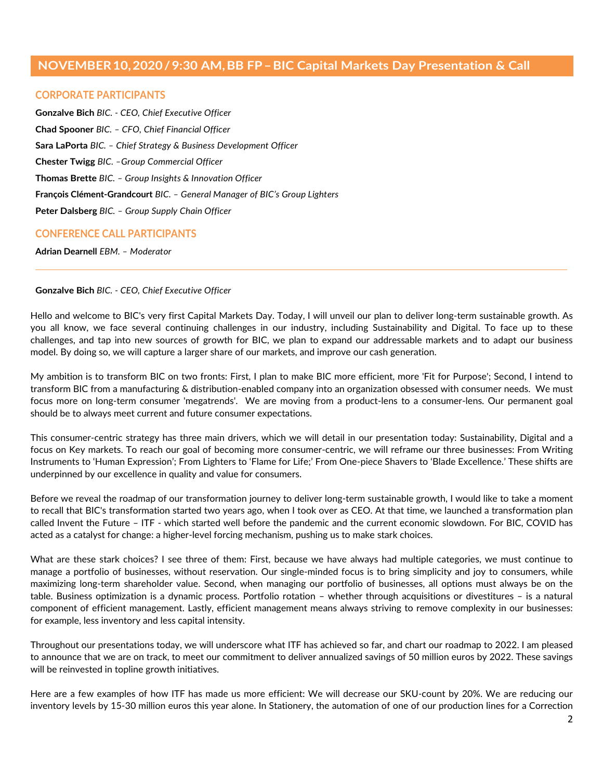### **CORPORATE PARTICIPANTS**

**Gonzalve Bich** *BIC. - CEO, Chief Executive Officer* **Chad Spooner** *BIC. – CFO, Chief Financial Officer*  **Sara LaPorta** *BIC. – Chief Strategy & Business Development Officer* **Chester Twigg** *BIC. –Group Commercial Officer* **Thomas Brette** *BIC. – Group Insights & Innovation Officer* **François Clément-Grandcourt** *BIC. – General Manager of BIC's Group Lighters* **Peter Dalsberg** *BIC. – Group Supply Chain Officer*

# **CONFERENCE CALL PARTICIPANTS**

**Adrian Dearnell** *EBM. – Moderator*

### **Gonzalve Bich** *BIC. - CEO, Chief Executive Officer*

Hello and welcome to BIC's very first Capital Markets Day. Today, I will unveil our plan to deliver long-term sustainable growth. As you all know, we face several continuing challenges in our industry, including Sustainability and Digital. To face up to these challenges, and tap into new sources of growth for BIC, we plan to expand our addressable markets and to adapt our business model. By doing so, we will capture a larger share of our markets, and improve our cash generation.

My ambition is to transform BIC on two fronts: First, I plan to make BIC more efficient, more 'Fit for Purpose'; Second, I intend to transform BIC from a manufacturing & distribution-enabled company into an organization obsessed with consumer needs. We must focus more on long-term consumer 'megatrends'. We are moving from a product-lens to a consumer-lens. Our permanent goal should be to always meet current and future consumer expectations.

This consumer-centric strategy has three main drivers, which we will detail in our presentation today: Sustainability, Digital and a focus on Key markets. To reach our goal of becoming more consumer-centric, we will reframe our three businesses: From Writing Instruments to 'Human Expression'; From Lighters to 'Flame for Life;' From One-piece Shavers to 'Blade Excellence.' These shifts are underpinned by our excellence in quality and value for consumers.

Before we reveal the roadmap of our transformation journey to deliver long-term sustainable growth, I would like to take a moment to recall that BIC's transformation started two years ago, when I took over as CEO. At that time, we launched a transformation plan called Invent the Future – ITF - which started well before the pandemic and the current economic slowdown. For BIC, COVID has acted as a catalyst for change: a higher-level forcing mechanism, pushing us to make stark choices.

What are these stark choices? I see three of them: First, because we have always had multiple categories, we must continue to manage a portfolio of businesses, without reservation. Our single-minded focus is to bring simplicity and joy to consumers, while maximizing long-term shareholder value. Second, when managing our portfolio of businesses, all options must always be on the table. Business optimization is a dynamic process. Portfolio rotation – whether through acquisitions or divestitures – is a natural component of efficient management. Lastly, efficient management means always striving to remove complexity in our businesses: for example, less inventory and less capital intensity.

Throughout our presentations today, we will underscore what ITF has achieved so far, and chart our roadmap to 2022. I am pleased to announce that we are on track, to meet our commitment to deliver annualized savings of 50 million euros by 2022. These savings will be reinvested in topline growth initiatives.

Here are a few examples of how ITF has made us more efficient: We will decrease our SKU-count by 20%. We are reducing our inventory levels by 15-30 million euros this year alone. In Stationery, the automation of one of our production lines for a Correction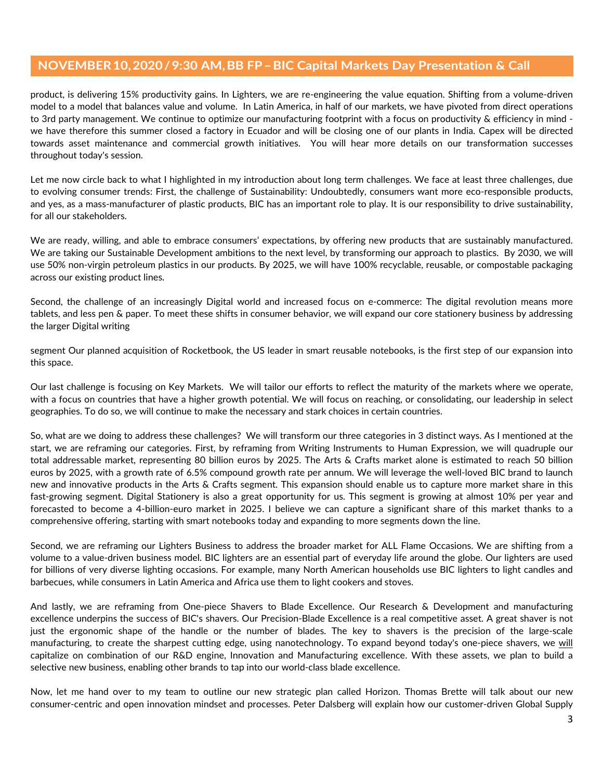product, is delivering 15% productivity gains. In Lighters, we are re-engineering the value equation. Shifting from a volume-driven model to a model that balances value and volume. In Latin America, in half of our markets, we have pivoted from direct operations to 3rd party management. We continue to optimize our manufacturing footprint with a focus on productivity & efficiency in mind we have therefore this summer closed a factory in Ecuador and will be closing one of our plants in India. Capex will be directed towards asset maintenance and commercial growth initiatives. You will hear more details on our transformation successes throughout today's session.

Let me now circle back to what I highlighted in my introduction about long term challenges. We face at least three challenges, due to evolving consumer trends: First, the challenge of Sustainability: Undoubtedly, consumers want more eco-responsible products, and yes, as a mass-manufacturer of plastic products, BIC has an important role to play. It is our responsibility to drive sustainability, for all our stakeholders.

We are ready, willing, and able to embrace consumers' expectations, by offering new products that are sustainably manufactured. We are taking our Sustainable Development ambitions to the next level, by transforming our approach to plastics. By 2030, we will use 50% non-virgin petroleum plastics in our products. By 2025, we will have 100% recyclable, reusable, or compostable packaging across our existing product lines.

Second, the challenge of an increasingly Digital world and increased focus on e-commerce: The digital revolution means more tablets, and less pen & paper. To meet these shifts in consumer behavior, we will expand our core stationery business by addressing the larger Digital writing

segment Our planned acquisition of Rocketbook, the US leader in smart reusable notebooks, is the first step of our expansion into this space.

Our last challenge is focusing on Key Markets. We will tailor our efforts to reflect the maturity of the markets where we operate, with a focus on countries that have a higher growth potential. We will focus on reaching, or consolidating, our leadership in select geographies. To do so, we will continue to make the necessary and stark choices in certain countries.

So, what are we doing to address these challenges? We will transform our three categories in 3 distinct ways. As I mentioned at the start, we are reframing our categories. First, by reframing from Writing Instruments to Human Expression, we will quadruple our total addressable market, representing 80 billion euros by 2025. The Arts & Crafts market alone is estimated to reach 50 billion euros by 2025, with a growth rate of 6.5% compound growth rate per annum. We will leverage the well-loved BIC brand to launch new and innovative products in the Arts & Crafts segment. This expansion should enable us to capture more market share in this fast-growing segment. Digital Stationery is also a great opportunity for us. This segment is growing at almost 10% per year and forecasted to become a 4-billion-euro market in 2025. I believe we can capture a significant share of this market thanks to a comprehensive offering, starting with smart notebooks today and expanding to more segments down the line.

Second, we are reframing our Lighters Business to address the broader market for ALL Flame Occasions. We are shifting from a volume to a value-driven business model. BIC lighters are an essential part of everyday life around the globe. Our lighters are used for billions of very diverse lighting occasions. For example, many North American households use BIC lighters to light candles and barbecues, while consumers in Latin America and Africa use them to light cookers and stoves.

And lastly, we are reframing from One-piece Shavers to Blade Excellence. Our Research & Development and manufacturing excellence underpins the success of BIC's shavers. Our Precision-Blade Excellence is a real competitive asset. A great shaver is not just the ergonomic shape of the handle or the number of blades. The key to shavers is the precision of the large-scale manufacturing, to create the sharpest cutting edge, using nanotechnology. To expand beyond today's one-piece shavers, we will capitalize on combination of our R&D engine, Innovation and Manufacturing excellence. With these assets, we plan to build a selective new business, enabling other brands to tap into our world-class blade excellence.

Now, let me hand over to my team to outline our new strategic plan called Horizon. Thomas Brette will talk about our new consumer-centric and open innovation mindset and processes. Peter Dalsberg will explain how our customer-driven Global Supply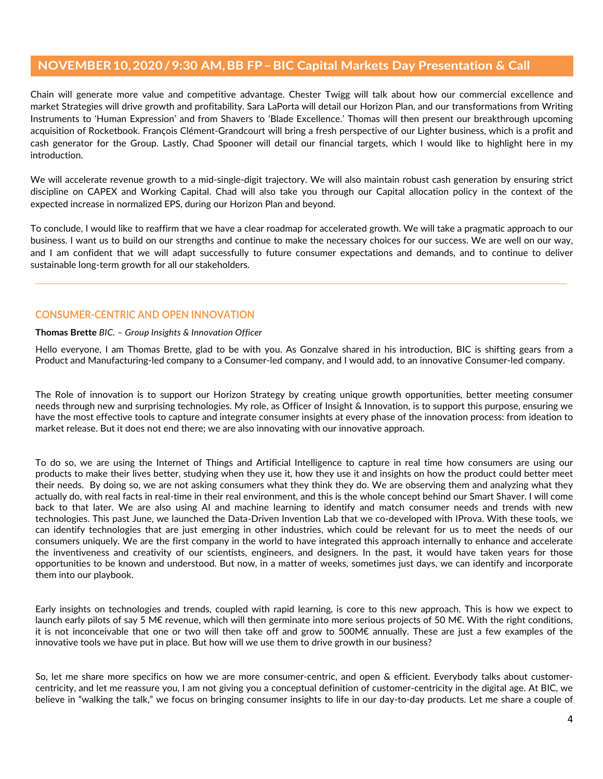Chain will generate more value and competitive advantage. Chester Twigg will talk about how our commercial excellence and market Strategies will drive growth and profitability. Sara LaPorta will detail our Horizon Plan, and our transformations from Writing Instruments to 'Human Expression' and from Shavers to 'Blade Excellence.' Thomas will then present our breakthrough upcoming acquisition of Rocketbook. François Clément-Grandcourt will bring a fresh perspective of our Lighter business, which is a profit and cash generator for the Group. Lastly, Chad Spooner will detail our financial targets, which I would like to highlight here in my introduction.

We will accelerate revenue growth to a mid-single-digit trajectory. We will also maintain robust cash generation by ensuring strict discipline on CAPEX and Working Capital. Chad will also take you through our Capital allocation policy in the context of the expected increase in normalized EPS, during our Horizon Plan and beyond.

To conclude, I would like to reaffirm that we have a clear roadmap for accelerated growth. We will take a pragmatic approach to our business. I want us to build on our strengths and continue to make the necessary choices for our success. We are well on our way, and I am confident that we will adapt successfully to future consumer expectations and demands, and to continue to deliver sustainable long-term growth for all our stakeholders.

# **CONSUMER-CENTRIC AND OPEN INNOVATION**

### **Thomas Brette** *BIC. – Group Insights & Innovation Officer*

Hello everyone, I am Thomas Brette, glad to be with you. As Gonzalve shared in his introduction, BIC is shifting gears from a Product and Manufacturing-led company to a Consumer-led company, and I would add, to an innovative Consumer-led company.

The Role of innovation is to support our Horizon Strategy by creating unique growth opportunities, better meeting consumer needs through new and surprising technologies. My role, as Officer of Insight & Innovation, is to support this purpose, ensuring we have the most effective tools to capture and integrate consumer insights at every phase of the innovation process: from ideation to market release. But it does not end there; we are also innovating with our innovative approach.

To do so, we are using the Internet of Things and Artificial Intelligence to capture in real time how consumers are using our products to make their lives better, studying when they use it, how they use it and insights on how the product could better meet their needs. By doing so, we are not asking consumers what they think they do. We are observing them and analyzing what they actually do, with real facts in real-time in their real environment, and this is the whole concept behind our Smart Shaver. I will come back to that later. We are also using AI and machine learning to identify and match consumer needs and trends with new technologies. This past June, we launched the Data-Driven Invention Lab that we co-developed with IProva. With these tools, we can identify technologies that are just emerging in other industries, which could be relevant for us to meet the needs of our consumers uniquely. We are the first company in the world to have integrated this approach internally to enhance and accelerate the inventiveness and creativity of our scientists, engineers, and designers. In the past, it would have taken years for those opportunities to be known and understood. But now, in a matter of weeks, sometimes just days, we can identify and incorporate them into our playbook.

Early insights on technologies and trends, coupled with rapid learning, is core to this new approach. This is how we expect to launch early pilots of say 5 M€ revenue, which will then germinate into more serious projects of 50 M€. With the right conditions, it is not inconceivable that one or two will then take off and grow to 500M€ annually. These are just a few examples of the innovative tools we have put in place. But how will we use them to drive growth in our business?

So, let me share more specifics on how we are more consumer-centric, and open & efficient. Everybody talks about customercentricity, and let me reassure you, I am not giving you a conceptual definition of customer-centricity in the digital age. At BIC, we believe in "walking the talk," we focus on bringing consumer insights to life in our day-to-day products. Let me share a couple of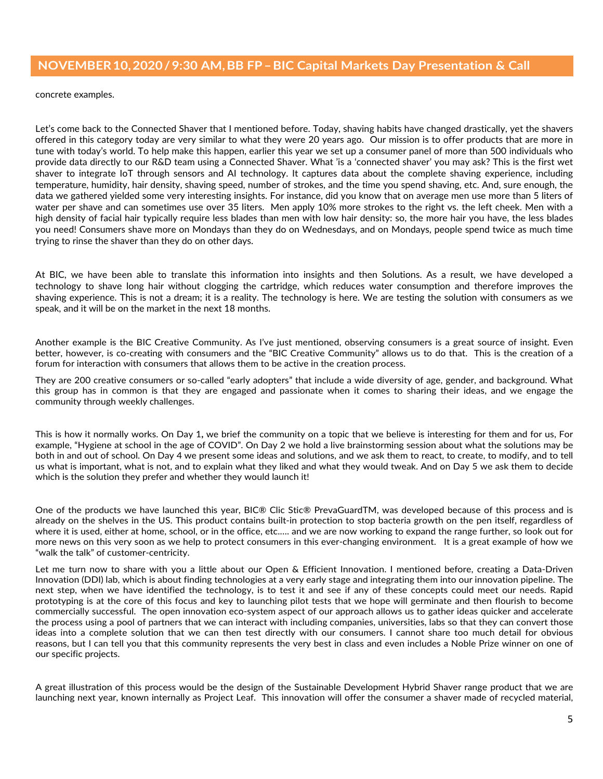concrete examples.

Let's come back to the Connected Shaver that I mentioned before. Today, shaving habits have changed drastically, yet the shavers offered in this category today are very similar to what they were 20 years ago. Our mission is to offer products that are more in tune with today's world. To help make this happen, earlier this year we set up a consumer panel of more than 500 individuals who provide data directly to our R&D team using a Connected Shaver. What 'is a 'connected shaver' you may ask? This is the first wet shaver to integrate IoT through sensors and AI technology. It captures data about the complete shaving experience, including temperature, humidity, hair density, shaving speed, number of strokes, and the time you spend shaving, etc. And, sure enough, the data we gathered yielded some very interesting insights. For instance, did you know that on average men use more than 5 liters of water per shave and can sometimes use over 35 liters. Men apply 10% more strokes to the right vs. the left cheek. Men with a high density of facial hair typically require less blades than men with low hair density: so, the more hair you have, the less blades you need! Consumers shave more on Mondays than they do on Wednesdays, and on Mondays, people spend twice as much time trying to rinse the shaver than they do on other days.

At BIC, we have been able to translate this information into insights and then Solutions. As a result, we have developed a technology to shave long hair without clogging the cartridge, which reduces water consumption and therefore improves the shaving experience. This is not a dream; it is a reality. The technology is here. We are testing the solution with consumers as we speak, and it will be on the market in the next 18 months.

Another example is the BIC Creative Community. As I've just mentioned, observing consumers is a great source of insight. Even better, however, is co-creating with consumers and the "BIC Creative Community" allows us to do that. This is the creation of a forum for interaction with consumers that allows them to be active in the creation process.

They are 200 creative consumers or so-called "early adopters" that include a wide diversity of age, gender, and background. What this group has in common is that they are engaged and passionate when it comes to sharing their ideas, and we engage the community through weekly challenges.

This is how it normally works. On Day 1**,** we brief the community on a topic that we believe is interesting for them and for us, For example, "Hygiene at school in the age of COVID". On Day 2 we hold a live brainstorming session about what the solutions may be both in and out of school. On Day 4 we present some ideas and solutions, and we ask them to react, to create, to modify, and to tell us what is important, what is not, and to explain what they liked and what they would tweak. And on Day 5 we ask them to decide which is the solution they prefer and whether they would launch it!

One of the products we have launched this year, BIC® Clic Stic® PrevaGuardTM, was developed because of this process and is already on the shelves in the US. This product contains built-in protection to stop bacteria growth on the pen itself, regardless of where it is used, either at home, school, or in the office, etc.…. and we are now working to expand the range further, so look out for more news on this very soon as we help to protect consumers in this ever-changing environment. It is a great example of how we "walk the talk" of customer-centricity.

Let me turn now to share with you a little about our Open & Efficient Innovation. I mentioned before, creating a Data-Driven Innovation (DDI) lab, which is about finding technologies at a very early stage and integrating them into our innovation pipeline. The next step, when we have identified the technology, is to test it and see if any of these concepts could meet our needs. Rapid prototyping is at the core of this focus and key to launching pilot tests that we hope will germinate and then flourish to become commercially successful. The open innovation eco-system aspect of our approach allows us to gather ideas quicker and accelerate the process using a pool of partners that we can interact with including companies, universities, labs so that they can convert those ideas into a complete solution that we can then test directly with our consumers. I cannot share too much detail for obvious reasons, but I can tell you that this community represents the very best in class and even includes a Noble Prize winner on one of our specific projects.

A great illustration of this process would be the design of the Sustainable Development Hybrid Shaver range product that we are launching next year, known internally as Project Leaf. This innovation will offer the consumer a shaver made of recycled material,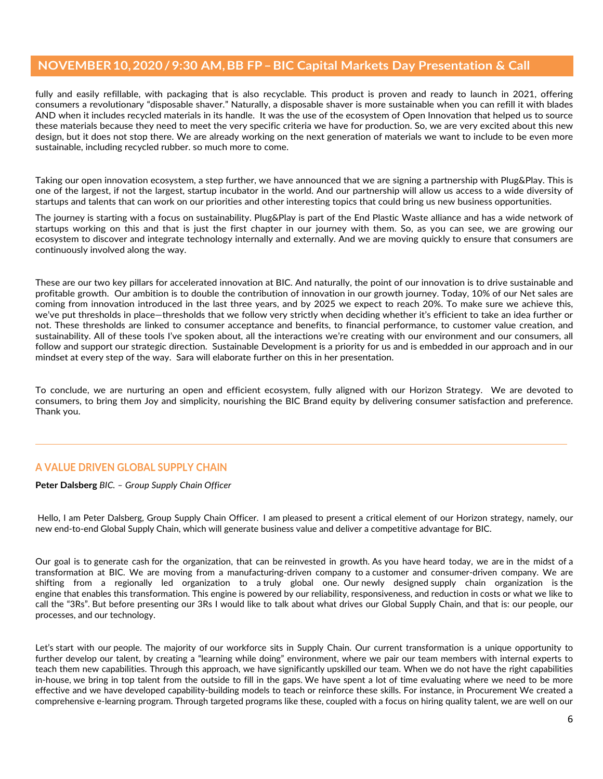fully and easily refillable, with packaging that is also recyclable. This product is proven and ready to launch in 2021, offering consumers a revolutionary "disposable shaver." Naturally, a disposable shaver is more sustainable when you can refill it with blades AND when it includes recycled materials in its handle. It was the use of the ecosystem of Open Innovation that helped us to source these materials because they need to meet the very specific criteria we have for production. So, we are very excited about this new design, but it does not stop there. We are already working on the next generation of materials we want to include to be even more sustainable, including recycled rubber. so much more to come.

Taking our open innovation ecosystem, a step further, we have announced that we are signing a partnership with Plug&Play. This is one of the largest, if not the largest, startup incubator in the world. And our partnership will allow us access to a wide diversity of startups and talents that can work on our priorities and other interesting topics that could bring us new business opportunities.

The journey is starting with a focus on sustainability. Plug&Play is part of the End Plastic Waste alliance and has a wide network of startups working on this and that is just the first chapter in our journey with them. So, as you can see, we are growing our ecosystem to discover and integrate technology internally and externally. And we are moving quickly to ensure that consumers are continuously involved along the way.

These are our two key pillars for accelerated innovation at BIC. And naturally, the point of our innovation is to drive sustainable and profitable growth. Our ambition is to double the contribution of innovation in our growth journey. Today, 10% of our Net sales are coming from innovation introduced in the last three years, and by 2025 we expect to reach 20%. To make sure we achieve this, we've put thresholds in place—thresholds that we follow very strictly when deciding whether it's efficient to take an idea further or not. These thresholds are linked to consumer acceptance and benefits, to financial performance, to customer value creation, and sustainability. All of these tools I've spoken about, all the interactions we're creating with our environment and our consumers, all follow and support our strategic direction. Sustainable Development is a priority for us and is embedded in our approach and in our mindset at every step of the way. Sara will elaborate further on this in her presentation.

To conclude, we are nurturing an open and efficient ecosystem, fully aligned with our Horizon Strategy. We are devoted to consumers, to bring them Joy and simplicity, nourishing the BIC Brand equity by delivering consumer satisfaction and preference. Thank you.

# **A VALUE DRIVEN GLOBAL SUPPLY CHAIN**

**Peter Dalsberg** *BIC. – Group Supply Chain Officer*

Hello, I am Peter Dalsberg, Group Supply Chain Officer. I am pleased to present a critical element of our Horizon strategy, namely, our new end-to-end Global Supply Chain, which will generate business value and deliver a competitive advantage for BIC.

Our goal is to generate cash for the organization, that can be reinvested in growth. As you have heard today, we are in the midst of a transformation at BIC. We are moving from a manufacturing-driven company to a customer and consumer-driven company. We are shifting from a regionally led organization to a truly global one. Our newly designed supply chain organization is the engine that enables this transformation. This engine is powered by our reliability, responsiveness, and reduction in costs or what we like to call the "3Rs". But before presenting our 3Rs I would like to talk about what drives our Global Supply Chain, and that is: our people, our processes, and our technology.

Let's start with our people. The majority of our workforce sits in Supply Chain. Our current transformation is a unique opportunity to further develop our talent, by creating a "learning while doing" environment, where we pair our team members with internal experts to teach them new capabilities. Through this approach, we have significantly upskilled our team. When we do not have the right capabilities in-house, we bring in top talent from the outside to fill in the gaps. We have spent a lot of time evaluating where we need to be more effective and we have developed capability-building models to teach or reinforce these skills. For instance, in Procurement We created a comprehensive e-learning program. Through targeted programs like these, coupled with a focus on hiring quality talent, we are well on our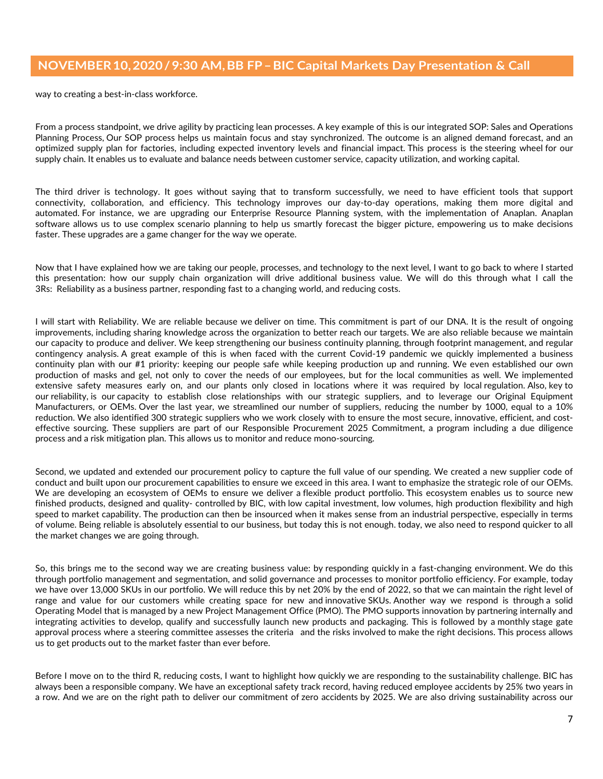way to creating a best-in-class workforce.

From a process standpoint, we drive agility by practicing lean processes. A key example of this is our integrated SOP: Sales and Operations Planning Process, Our SOP process helps us maintain focus and stay synchronized. The outcome is an aligned demand forecast, and an optimized supply plan for factories, including expected inventory levels and financial impact. This process is the steering wheel for our supply chain. It enables us to evaluate and balance needs between customer service, capacity utilization, and working capital.

The third driver is technology. It goes without saying that to transform successfully, we need to have efficient tools that support connectivity, collaboration, and efficiency. This technology improves our day-to-day operations, making them more digital and automated. For instance, we are upgrading our Enterprise Resource Planning system, with the implementation of Anaplan. Anaplan software allows us to use complex scenario planning to help us smartly forecast the bigger picture, empowering us to make decisions faster. These upgrades are a game changer for the way we operate.

Now that I have explained how we are taking our people, processes, and technology to the next level, I want to go back to where I started this presentation: how our supply chain organization will drive additional business value. We will do this through what I call the 3Rs: Reliability as a business partner, responding fast to a changing world, and reducing costs.

I will start with Reliability. We are reliable because we deliver on time. This commitment is part of our DNA. It is the result of ongoing improvements, including sharing knowledge across the organization to better reach our targets. We are also reliable because we maintain our capacity to produce and deliver. We keep strengthening our business continuity planning, through footprint management, and regular contingency analysis. A great example of this is when faced with the current Covid-19 pandemic we quickly implemented a business continuity plan with our #1 priority: keeping our people safe while keeping production up and running. We even established our own production of masks and gel, not only to cover the needs of our employees, but for the local communities as well. We implemented extensive safety measures early on, and our plants only closed in locations where it was required by local regulation. Also, key to our reliability, is our capacity to establish close relationships with our strategic suppliers, and to leverage our Original Equipment Manufacturers, or OEMs. Over the last year, we streamlined our number of suppliers, reducing the number by 1000, equal to a 10% reduction. We also identified 300 strategic suppliers who we work closely with to ensure the most secure, innovative, efficient, and costeffective sourcing. These suppliers are part of our Responsible Procurement 2025 Commitment, a program including a due diligence process and a risk mitigation plan. This allows us to monitor and reduce mono-sourcing.

Second, we updated and extended our procurement policy to capture the full value of our spending. We created a new supplier code of conduct and built upon our procurement capabilities to ensure we exceed in this area. I want to emphasize the strategic role of our OEMs. We are developing an ecosystem of OEMs to ensure we deliver a flexible product portfolio. This ecosystem enables us to source new finished products, designed and quality- controlled by BIC, with low capital investment, low volumes, high production flexibility and high speed to market capability. The production can then be insourced when it makes sense from an industrial perspective, especially in terms of volume. Being reliable is absolutely essential to our business, but today this is not enough. today, we also need to respond quicker to all the market changes we are going through.

So, this brings me to the second way we are creating business value: by responding quickly in a fast-changing environment. We do this through portfolio management and segmentation, and solid governance and processes to monitor portfolio efficiency. For example, today we have over 13,000 SKUs in our portfolio. We will reduce this by net 20% by the end of 2022, so that we can maintain the right level of range and value for our customers while creating space for new and innovative SKUs. Another way we respond is through a solid Operating Model that is managed by a new Project Management Office (PMO). The PMO supports innovation by partnering internally and integrating activities to develop, qualify and successfully launch new products and packaging. This is followed by a monthly stage gate approval process where a steering committee assesses the criteria and the risks involved to make the right decisions. This process allows us to get products out to the market faster than ever before.

Before I move on to the third R, reducing costs, I want to highlight how quickly we are responding to the sustainability challenge. BIC has always been a responsible company. We have an exceptional safety track record, having reduced employee accidents by 25% two years in a row. And we are on the right path to deliver our commitment of zero accidents by 2025. We are also driving sustainability across our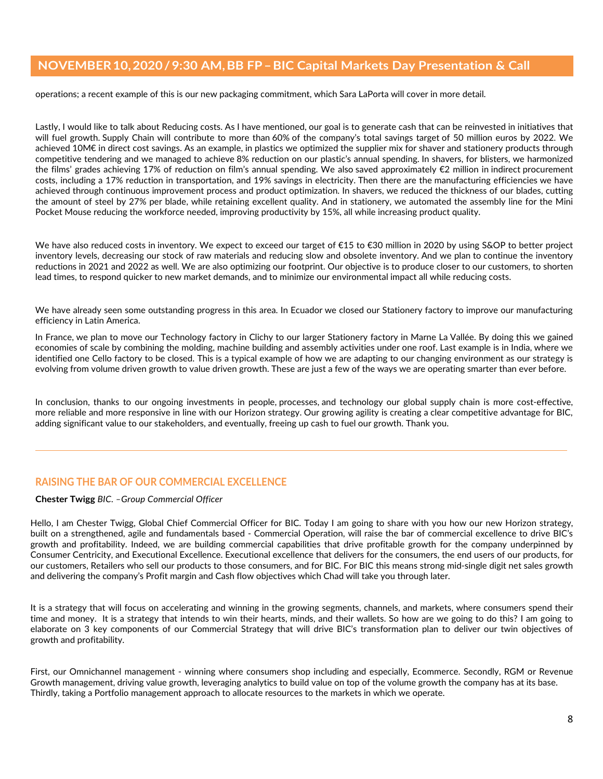operations; a recent example of this is our new packaging commitment, which Sara LaPorta will cover in more detail.

Lastly, I would like to talk about Reducing costs. As I have mentioned, our goal is to generate cash that can be reinvested in initiatives that will fuel growth. Supply Chain will contribute to more than 60% of the company's total savings target of 50 million euros by 2022. We achieved 10M€ in direct cost savings. As an example, in plastics we optimized the supplier mix for shaver and stationery products through competitive tendering and we managed to achieve 8% reduction on our plastic's annual spending. In shavers, for blisters, we harmonized the films' grades achieving 17% of reduction on film's annual spending. We also saved approximately €2 million in indirect procurement costs, including a 17% reduction in transportation, and 19% savings in electricity. Then there are the manufacturing efficiencies we have achieved through continuous improvement process and product optimization. In shavers, we reduced the thickness of our blades, cutting the amount of steel by 27% per blade, while retaining excellent quality. And in stationery, we automated the assembly line for the Mini Pocket Mouse reducing the workforce needed, improving productivity by 15%, all while increasing product quality.

We have also reduced costs in inventory. We expect to exceed our target of €15 to €30 million in 2020 by using S&OP to better project inventory levels, decreasing our stock of raw materials and reducing slow and obsolete inventory. And we plan to continue the inventory reductions in 2021 and 2022 as well. We are also optimizing our footprint. Our objective is to produce closer to our customers, to shorten lead times, to respond quicker to new market demands, and to minimize our environmental impact all while reducing costs.

We have already seen some outstanding progress in this area. In Ecuador we closed our Stationery factory to improve our manufacturing efficiency in Latin America.

In France, we plan to move our Technology factory in Clichy to our larger Stationery factory in Marne La Vallée. By doing this we gained economies of scale by combining the molding, machine building and assembly activities under one roof. Last example is in India, where we identified one Cello factory to be closed. This is a typical example of how we are adapting to our changing environment as our strategy is evolving from volume driven growth to value driven growth. These are just a few of the ways we are operating smarter than ever before.

In conclusion, thanks to our ongoing investments in people, processes, and technology our global supply chain is more cost-effective, more reliable and more responsive in line with our Horizon strategy. Our growing agility is creating a clear competitive advantage for BIC, adding significant value to our stakeholders, and eventually, freeing up cash to fuel our growth. Thank you.

# **RAISING THE BAR OF OUR COMMERCIAL EXCELLENCE**

#### **Chester Twigg** *BIC. –Group Commercial Officer*

Hello, I am Chester Twigg, Global Chief Commercial Officer for BIC. Today I am going to share with you how our new Horizon strategy, built on a strengthened, agile and fundamentals based - Commercial Operation, will raise the bar of commercial excellence to drive BIC's growth and profitability. Indeed, we are building commercial capabilities that drive profitable growth for the company underpinned by Consumer Centricity, and Executional Excellence. Executional excellence that delivers for the consumers, the end users of our products, for our customers, Retailers who sell our products to those consumers, and for BIC. For BIC this means strong mid-single digit net sales growth and delivering the company's Profit margin and Cash flow objectives which Chad will take you through later.

It is a strategy that will focus on accelerating and winning in the growing segments, channels, and markets, where consumers spend their time and money. It is a strategy that intends to win their hearts, minds, and their wallets. So how are we going to do this? I am going to elaborate on 3 key components of our Commercial Strategy that will drive BIC's transformation plan to deliver our twin objectives of growth and profitability.

First, our Omnichannel management - winning where consumers shop including and especially, Ecommerce. Secondly, RGM or Revenue Growth management, driving value growth, leveraging analytics to build value on top of the volume growth the company has at its base. Thirdly, taking a Portfolio management approach to allocate resources to the markets in which we operate.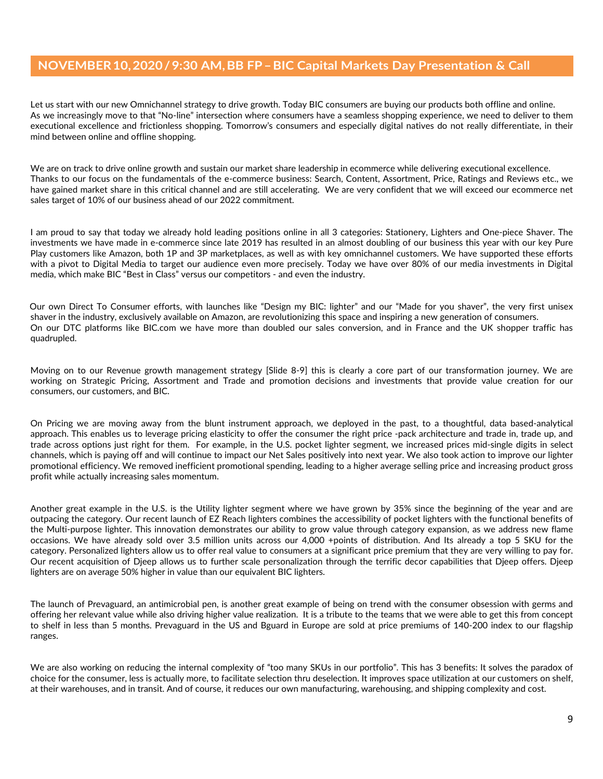Let us start with our new Omnichannel strategy to drive growth. Today BIC consumers are buying our products both offline and online. As we increasingly move to that "No-line" intersection where consumers have a seamless shopping experience, we need to deliver to them executional excellence and frictionless shopping. Tomorrow's consumers and especially digital natives do not really differentiate, in their mind between online and offline shopping.

We are on track to drive online growth and sustain our market share leadership in ecommerce while delivering executional excellence. Thanks to our focus on the fundamentals of the e-commerce business: Search, Content, Assortment, Price, Ratings and Reviews etc., we have gained market share in this critical channel and are still accelerating. We are very confident that we will exceed our ecommerce net sales target of 10% of our business ahead of our 2022 commitment.

I am proud to say that today we already hold leading positions online in all 3 categories: Stationery, Lighters and One-piece Shaver. The investments we have made in e-commerce since late 2019 has resulted in an almost doubling of our business this year with our key Pure Play customers like Amazon, both 1P and 3P marketplaces, as well as with key omnichannel customers. We have supported these efforts with a pivot to Digital Media to target our audience even more precisely. Today we have over 80% of our media investments in Digital media, which make BIC "Best in Class" versus our competitors - and even the industry.

Our own Direct To Consumer efforts, with launches like "Design my BIC: lighter" and our "Made for you shaver", the very first unisex shaver in the industry, exclusively available on Amazon, are revolutionizing this space and inspiring a new generation of consumers. On our DTC platforms like BIC.com we have more than doubled our sales conversion, and in France and the UK shopper traffic has quadrupled.

Moving on to our Revenue growth management strategy [Slide 8-9] this is clearly a core part of our transformation journey. We are working on Strategic Pricing, Assortment and Trade and promotion decisions and investments that provide value creation for our consumers, our customers, and BIC.

On Pricing we are moving away from the blunt instrument approach, we deployed in the past, to a thoughtful, data based-analytical approach. This enables us to leverage pricing elasticity to offer the consumer the right price -pack architecture and trade in, trade up, and trade across options just right for them. For example, in the U.S. pocket lighter segment, we increased prices mid-single digits in select channels, which is paying off and will continue to impact our Net Sales positively into next year. We also took action to improve our lighter promotional efficiency. We removed inefficient promotional spending, leading to a higher average selling price and increasing product gross profit while actually increasing sales momentum.

Another great example in the U.S. is the Utility lighter segment where we have grown by 35% since the beginning of the year and are outpacing the category. Our recent launch of EZ Reach lighters combines the accessibility of pocket lighters with the functional benefits of the Multi-purpose lighter. This innovation demonstrates our ability to grow value through category expansion, as we address new flame occasions. We have already sold over 3.5 million units across our 4,000 +points of distribution. And Its already a top 5 SKU for the category. Personalized lighters allow us to offer real value to consumers at a significant price premium that they are very willing to pay for. Our recent acquisition of Djeep allows us to further scale personalization through the terrific decor capabilities that Djeep offers. Djeep lighters are on average 50% higher in value than our equivalent BIC lighters.

The launch of Prevaguard, an antimicrobial pen, is another great example of being on trend with the consumer obsession with germs and offering her relevant value while also driving higher value realization. It is a tribute to the teams that we were able to get this from concept to shelf in less than 5 months. Prevaguard in the US and Bguard in Europe are sold at price premiums of 140-200 index to our flagship ranges.

We are also working on reducing the internal complexity of "too many SKUs in our portfolio". This has 3 benefits: It solves the paradox of choice for the consumer, less is actually more, to facilitate selection thru deselection. It improves space utilization at our customers on shelf, at their warehouses, and in transit. And of course, it reduces our own manufacturing, warehousing, and shipping complexity and cost.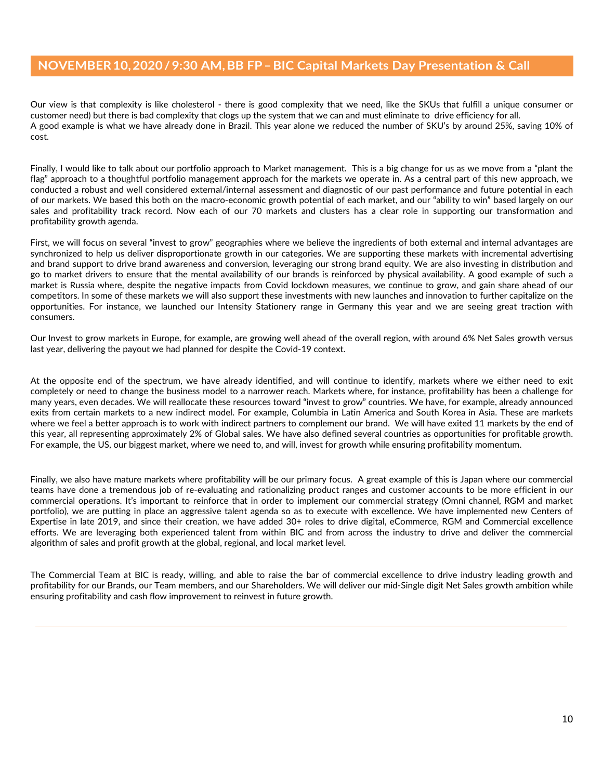Our view is that complexity is like cholesterol - there is good complexity that we need, like the SKUs that fulfill a unique consumer or customer need) but there is bad complexity that clogs up the system that we can and must eliminate to drive efficiency for all. A good example is what we have already done in Brazil. This year alone we reduced the number of SKU's by around 25%, saving 10% of cost.

Finally, I would like to talk about our portfolio approach to Market management. This is a big change for us as we move from a "plant the flag" approach to a thoughtful portfolio management approach for the markets we operate in. As a central part of this new approach, we conducted a robust and well considered external/internal assessment and diagnostic of our past performance and future potential in each of our markets. We based this both on the macro-economic growth potential of each market, and our "ability to win" based largely on our sales and profitability track record. Now each of our 70 markets and clusters has a clear role in supporting our transformation and profitability growth agenda.

First, we will focus on several "invest to grow" geographies where we believe the ingredients of both external and internal advantages are synchronized to help us deliver disproportionate growth in our categories. We are supporting these markets with incremental advertising and brand support to drive brand awareness and conversion, leveraging our strong brand equity. We are also investing in distribution and go to market drivers to ensure that the mental availability of our brands is reinforced by physical availability. A good example of such a market is Russia where, despite the negative impacts from Covid lockdown measures, we continue to grow, and gain share ahead of our competitors. In some of these markets we will also support these investments with new launches and innovation to further capitalize on the opportunities. For instance, we launched our Intensity Stationery range in Germany this year and we are seeing great traction with consumers.

Our Invest to grow markets in Europe, for example, are growing well ahead of the overall region, with around 6% Net Sales growth versus last year, delivering the payout we had planned for despite the Covid-19 context.

At the opposite end of the spectrum, we have already identified, and will continue to identify, markets where we either need to exit completely or need to change the business model to a narrower reach. Markets where, for instance, profitability has been a challenge for many years, even decades. We will reallocate these resources toward "invest to grow" countries. We have, for example, already announced exits from certain markets to a new indirect model. For example, Columbia in Latin America and South Korea in Asia. These are markets where we feel a better approach is to work with indirect partners to complement our brand. We will have exited 11 markets by the end of this year, all representing approximately 2% of Global sales. We have also defined several countries as opportunities for profitable growth. For example, the US, our biggest market, where we need to, and will, invest for growth while ensuring profitability momentum.

Finally, we also have mature markets where profitability will be our primary focus. A great example of this is Japan where our commercial teams have done a tremendous job of re-evaluating and rationalizing product ranges and customer accounts to be more efficient in our commercial operations. It's important to reinforce that in order to implement our commercial strategy (Omni channel, RGM and market portfolio), we are putting in place an aggressive talent agenda so as to execute with excellence. We have implemented new Centers of Expertise in late 2019, and since their creation, we have added 30+ roles to drive digital, eCommerce, RGM and Commercial excellence efforts. We are leveraging both experienced talent from within BIC and from across the industry to drive and deliver the commercial algorithm of sales and profit growth at the global, regional, and local market level.

The Commercial Team at BIC is ready, willing, and able to raise the bar of commercial excellence to drive industry leading growth and profitability for our Brands, our Team members, and our Shareholders. We will deliver our mid-Single digit Net Sales growth ambition while ensuring profitability and cash flow improvement to reinvest in future growth.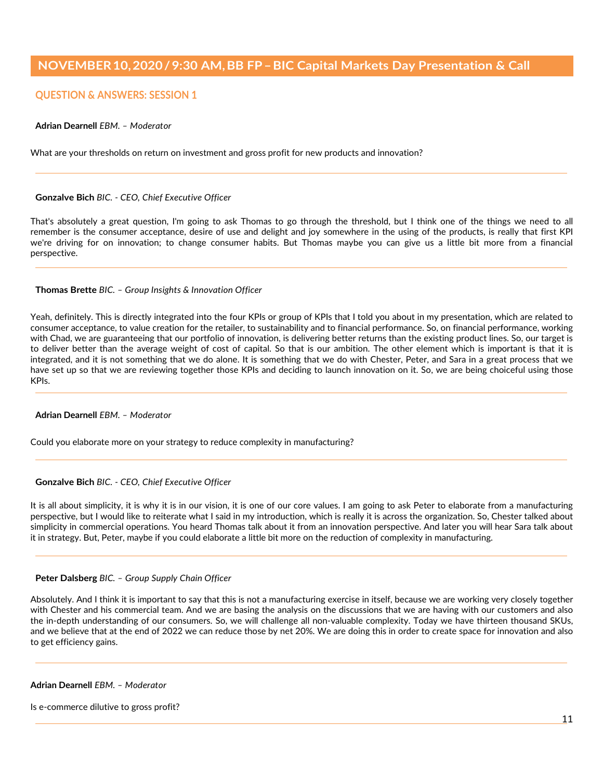# **QUESTION & ANSWERS: SESSION 1**

### **Adrian Dearnell** *EBM. – Moderator*

What are your thresholds on return on investment and gross profit for new products and innovation?

#### **Gonzalve Bich** *BIC. - CEO, Chief Executive Officer*

That's absolutely a great question, I'm going to ask Thomas to go through the threshold, but I think one of the things we need to all remember is the consumer acceptance, desire of use and delight and joy somewhere in the using of the products, is really that first KPI we're driving for on innovation; to change consumer habits. But Thomas maybe you can give us a little bit more from a financial perspective.

#### **Thomas Brette** *BIC. – Group Insights & Innovation Officer*

Yeah, definitely. This is directly integrated into the four KPIs or group of KPIs that I told you about in my presentation, which are related to consumer acceptance, to value creation for the retailer, to sustainability and to financial performance. So, on financial performance, working with Chad, we are guaranteeing that our portfolio of innovation, is delivering better returns than the existing product lines. So, our target is to deliver better than the average weight of cost of capital. So that is our ambition. The other element which is important is that it is integrated, and it is not something that we do alone. It is something that we do with Chester, Peter, and Sara in a great process that we have set up so that we are reviewing together those KPIs and deciding to launch innovation on it. So, we are being choiceful using those KPIs.

#### **Adrian Dearnell** *EBM. – Moderator*

Could you elaborate more on your strategy to reduce complexity in manufacturing?

#### **Gonzalve Bich** *BIC. - CEO, Chief Executive Officer*

It is all about simplicity, it is why it is in our vision, it is one of our core values. I am going to ask Peter to elaborate from a manufacturing perspective, but I would like to reiterate what I said in my introduction, which is really it is across the organization. So, Chester talked about simplicity in commercial operations. You heard Thomas talk about it from an innovation perspective. And later you will hear Sara talk about it in strategy. But, Peter, maybe if you could elaborate a little bit more on the reduction of complexity in manufacturing.

#### **Peter Dalsberg** *BIC. – Group Supply Chain Officer*

Absolutely. And I think it is important to say that this is not a manufacturing exercise in itself, because we are working very closely together with Chester and his commercial team. And we are basing the analysis on the discussions that we are having with our customers and also the in-depth understanding of our consumers. So, we will challenge all non-valuable complexity. Today we have thirteen thousand SKUs, and we believe that at the end of 2022 we can reduce those by net 20%. We are doing this in order to create space for innovation and also to get efficiency gains.

#### **Adrian Dearnell** *EBM. – Moderator*

Is e-commerce dilutive to gross profit?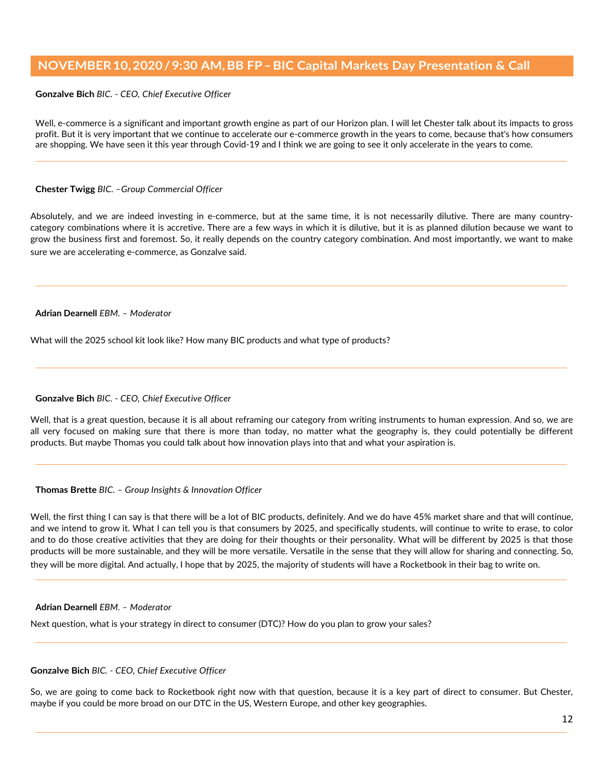**Gonzalve Bich** *BIC. - CEO, Chief Executive Officer*

Well, e-commerce is a significant and important growth engine as part of our Horizon plan. I will let Chester talk about its impacts to gross profit. But it is very important that we continue to accelerate our e-commerce growth in the years to come, because that's how consumers are shopping. We have seen it this year through Covid-19 and I think we are going to see it only accelerate in the years to come.

### **Chester Twigg** *BIC. –Group Commercial Officer*

Absolutely, and we are indeed investing in e-commerce, but at the same time, it is not necessarily dilutive. There are many countrycategory combinations where it is accretive. There are a few ways in which it is dilutive, but it is as planned dilution because we want to grow the business first and foremost. So, it really depends on the country category combination. And most importantly, we want to make sure we are accelerating e-commerce, as Gonzalve said.

### **Adrian Dearnell** *EBM. – Moderator*

What will the 2025 school kit look like? How many BIC products and what type of products?

### **Gonzalve Bich** *BIC. - CEO, Chief Executive Officer*

Well, that is a great question, because it is all about reframing our category from writing instruments to human expression. And so, we are all very focused on making sure that there is more than today, no matter what the geography is, they could potentially be different products. But maybe Thomas you could talk about how innovation plays into that and what your aspiration is.

#### **Thomas Brette** *BIC. – Group Insights & Innovation Officer*

Well, the first thing I can say is that there will be a lot of BIC products, definitely. And we do have 45% market share and that will continue, and we intend to grow it. What I can tell you is that consumers by 2025, and specifically students, will continue to write to erase, to color and to do those creative activities that they are doing for their thoughts or their personality. What will be different by 2025 is that those products will be more sustainable, and they will be more versatile. Versatile in the sense that they will allow for sharing and connecting. So, they will be more digital. And actually, I hope that by 2025, the majority of students will have a Rocketbook in their bag to write on.

#### **Adrian Dearnell** *EBM. – Moderator*

Next question, what is your strategy in direct to consumer (DTC)? How do you plan to grow your sales?

### **Gonzalve Bich** *BIC. - CEO, Chief Executive Officer*

So, we are going to come back to Rocketbook right now with that question, because it is a key part of direct to consumer. But Chester, maybe if you could be more broad on our DTC in the US, Western Europe, and other key geographies.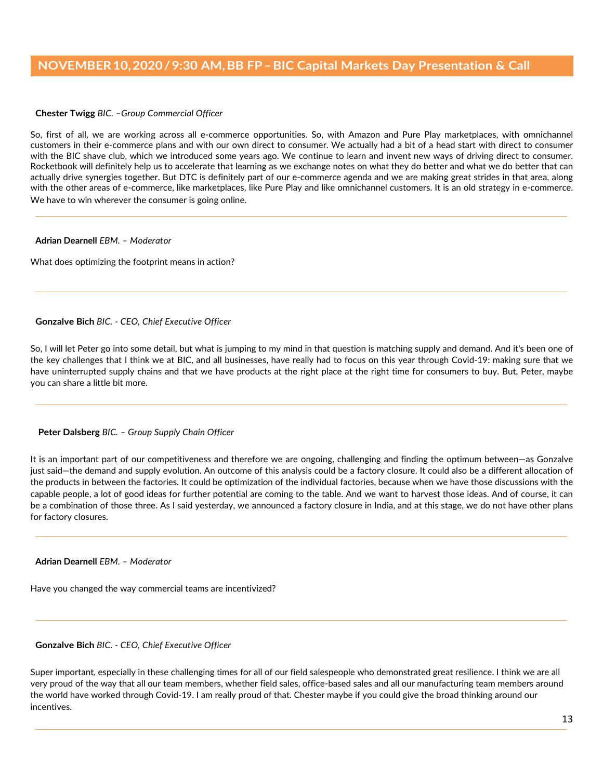**Chester Twigg** *BIC. –Group Commercial Officer*

So, first of all, we are working across all e-commerce opportunities. So, with Amazon and Pure Play marketplaces, with omnichannel customers in their e-commerce plans and with our own direct to consumer. We actually had a bit of a head start with direct to consumer with the BIC shave club, which we introduced some years ago. We continue to learn and invent new ways of driving direct to consumer. Rocketbook will definitely help us to accelerate that learning as we exchange notes on what they do better and what we do better that can actually drive synergies together. But DTC is definitely part of our e-commerce agenda and we are making great strides in that area, along with the other areas of e-commerce, like marketplaces, like Pure Play and like omnichannel customers. It is an old strategy in e-commerce. We have to win wherever the consumer is going online.

**Adrian Dearnell** *EBM. – Moderator*

What does optimizing the footprint means in action?

**Gonzalve Bich** *BIC. - CEO, Chief Executive Officer*

So, I will let Peter go into some detail, but what is jumping to my mind in that question is matching supply and demand. And it's been one of the key challenges that I think we at BIC, and all businesses, have really had to focus on this year through Covid-19: making sure that we have uninterrupted supply chains and that we have products at the right place at the right time for consumers to buy. But, Peter, maybe you can share a little bit more.

### **Peter Dalsberg** *BIC. – Group Supply Chain Officer*

It is an important part of our competitiveness and therefore we are ongoing, challenging and finding the optimum between—as Gonzalve just said—the demand and supply evolution. An outcome of this analysis could be a factory closure. It could also be a different allocation of the products in between the factories. It could be optimization of the individual factories, because when we have those discussions with the capable people, a lot of good ideas for further potential are coming to the table. And we want to harvest those ideas. And of course, it can be a combination of those three. As I said yesterday, we announced a factory closure in India, and at this stage, we do not have other plans for factory closures.

**Adrian Dearnell** *EBM. – Moderator*

Have you changed the way commercial teams are incentivized?

**Gonzalve Bich** *BIC. - CEO, Chief Executive Officer*

Super important, especially in these challenging times for all of our field salespeople who demonstrated great resilience. I think we are all very proud of the way that all our team members, whether field sales, office-based sales and all our manufacturing team members around the world have worked through Covid-19. I am really proud of that. Chester maybe if you could give the broad thinking around our incentives.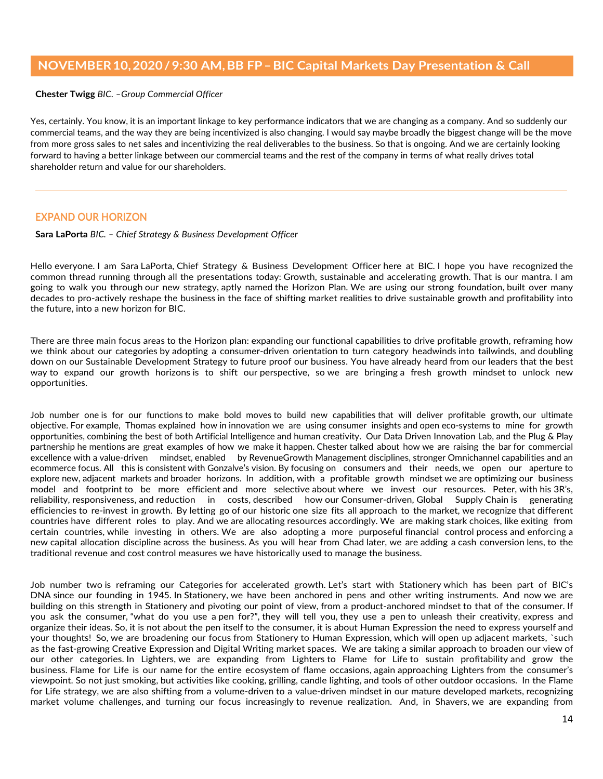**Chester Twigg** *BIC. –Group Commercial Officer*

Yes, certainly. You know, it is an important linkage to key performance indicators that we are changing as a company. And so suddenly our commercial teams, and the way they are being incentivized is also changing. I would say maybe broadly the biggest change will be the move from more gross sales to net sales and incentivizing the real deliverables to the business. So that is ongoing. And we are certainly looking forward to having a better linkage between our commercial teams and the rest of the company in terms of what really drives total shareholder return and value for our shareholders.

# **EXPAND OUR HORIZON**

**Sara LaPorta** *BIC. – Chief Strategy & Business Development Officer*

Hello everyone. I am Sara LaPorta, Chief Strategy & Business Development Officer here at BIC. I hope you have recognized the common thread running through all the presentations today: Growth, sustainable and accelerating growth. That is our mantra. I am going to walk you through our new strategy, aptly named the Horizon Plan. We are using our strong foundation, built over many decades to pro-actively reshape the business in the face of shifting market realities to drive sustainable growth and profitability into the future, into a new horizon for BIC. 

There are three main focus areas to the Horizon plan: expanding our functional capabilities to drive profitable growth, reframing how we think about our categories by adopting a consumer-driven orientation to turn category headwinds into tailwinds, and doubling down on our Sustainable Development Strategy to future proof our business. You have already heard from our leaders that the best way to expand our growth horizons is to shift our perspective, so we are bringing a fresh growth mindset to unlock new opportunities.

Job number one is for our functions to make bold moves to build new capabilities that will deliver profitable growth, our ultimate objective. For example, Thomas explained how in innovation we are using consumer insights and open eco-systems to mine for growth opportunities, combining the best of both Artificial Intelligence and human creativity.  Our Data Driven Innovation Lab, and the Plug & Play partnership he mentions are great examples of how we make it happen. Chester talked about how we are raising the bar for commercial excellence with a value-driven mindset, enabled by RevenueGrowth Management disciplines, stronger Omnichannel capabilities and an ecommerce focus. All this is consistent with Gonzalve's vision. By focusing on consumers and their needs, we open our aperture to explore new, adjacent markets and broader horizons.  In addition, with a profitable growth mindset we are optimizing our business model and footprint to be more efficient and more selective about where we invest our resources.   Peter, with his 3R's, reliability, responsiveness, and reduction in costs, described how our Consumer-driven, Global Supply Chain is generating efficiencies to re-invest in growth. By letting go of our historic one size fits all approach to the market, we recognize that different countries have different roles to play. And we are allocating resources accordingly. We are making stark choices, like exiting from certain countries, while investing in others. We are also adopting a more purposeful financial control process and enforcing a new capital allocation discipline across the business. As you will hear from Chad later, we are adding a cash conversion lens, to the traditional revenue and cost control measures we have historically used to manage the business.

Job number two is reframing our Categories for accelerated growth. Let's start with Stationery which has been part of BIC's DNA since our founding in 1945. In Stationery, we have been anchored in pens and other writing instruments.  And now we are building on this strength in Stationery and pivoting our point of view, from a product-anchored mindset to that of the consumer. If you ask the consumer, "what do you use a pen for?", they will tell you, they use a pen to unleash their creativity, express and organize their ideas. So, it is not about the pen itself to the consumer, it is about Human Expression the need to express yourself and your thoughts!  So, we are broadening our focus from Stationery to Human Expression, which will open up adjacent markets, `such as the fast-growing Creative Expression and Digital Writing market spaces.  We are taking a similar approach to broaden our view of our other categories. In Lighters, we are expanding from Lighters to Flame for Life to sustain profitability and grow the business. Flame for Life is our name for the entire ecosystem of flame occasions, again approaching Lighters from the consumer's viewpoint. So not just smoking, but activities like cooking, grilling, candle lighting, and tools of other outdoor occasions.  In the Flame for Life strategy, we are also shifting from a volume-driven to a value-driven mindset in our mature developed markets, recognizing market volume challenges, and turning our focus increasingly to revenue realization. And, in Shavers, we are expanding from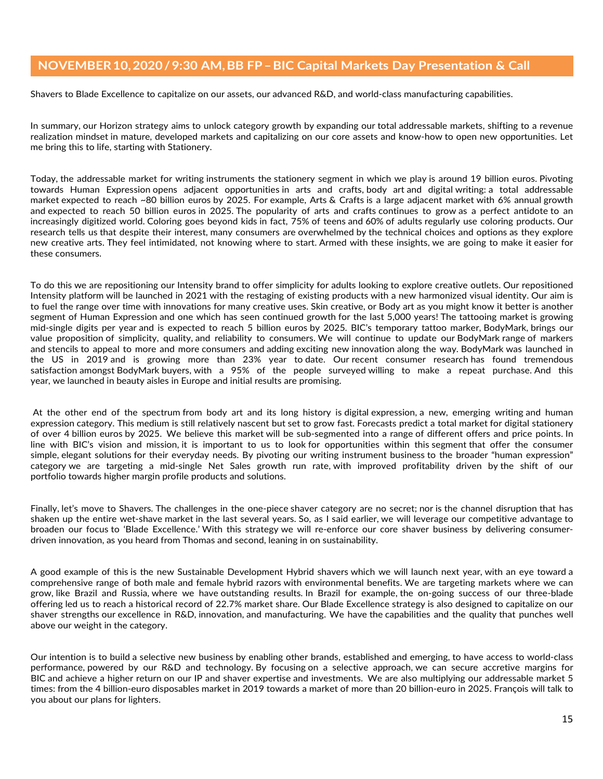Shavers to Blade Excellence to capitalize on our assets, our advanced R&D, and world-class manufacturing capabilities.

In summary, our Horizon strategy aims to unlock category growth by expanding our total addressable markets, shifting to a revenue realization mindset in mature, developed markets and capitalizing on our core assets and know-how to open new opportunities. Let me bring this to life, starting with Stationery.

Today, the addressable market for writing instruments the stationery segment in which we play is around 19 billion euros. Pivoting towards Human Expression opens adjacent opportunities in arts and crafts, body art and digital writing: a total addressable market expected to reach ~80 billion euros by 2025. For example, Arts & Crafts is a large adjacent market with 6% annual growth and expected to reach 50 billion euros in 2025. The popularity of arts and crafts continues to grow as a perfect antidote to an increasingly digitized world. Coloring goes beyond kids in fact, 75% of teens and 60% of adults regularly use coloring products. Our research tells us that despite their interest, many consumers are overwhelmed by the technical choices and options as they explore new creative arts. They feel intimidated, not knowing where to start. Armed with these insights, we are going to make it easier for these consumers.  

To do this we are repositioning our Intensity brand to offer simplicity for adults looking to explore creative outlets. Our repositioned Intensity platform will be launched in 2021 with the restaging of existing products with a new harmonized visual identity. Our aim is to fuel the range over time with innovations for many creative uses. Skin creative, or Body art as you might know it better is another segment of Human Expression and one which has seen continued growth for the last 5,000 years! The tattooing market is growing mid-single digits per year and is expected to reach 5 billion euros by 2025. BIC's temporary tattoo marker, BodyMark, brings our value proposition of simplicity, quality, and reliability to consumers. We will continue to update our BodyMark range of markers and stencils to appeal to more and more consumers and adding exciting new innovation along the way. BodyMark was launched in the US in 2019 and is growing more than 23% year to date. Our recent consumer research has found tremendous satisfaction amongst BodyMark buyers, with a 95% of the people surveyed willing to make a repeat purchase. And this year, we launched in beauty aisles in Europe and initial results are promising.

At the other end of the spectrum from body art and its long history is digital expression, a new, emerging writing and human expression category. This medium is still relatively nascent but set to grow fast. Forecasts predict a total market for digital stationery of over 4 billion euros by 2025.  We believe this market will be sub-segmented into a range of different offers and price points. In line with BIC's vision and mission, it is important to us to look for opportunities within this segment that offer the consumer simple, elegant solutions for their everyday needs. By pivoting our writing instrument business to the broader "human expression" category we are targeting a mid-single Net Sales growth run rate, with improved profitability driven by the shift of our portfolio towards higher margin profile products and solutions.

Finally, let's move to Shavers. The challenges in the one-piece shaver category are no secret; nor is the channel disruption that has shaken up the entire wet-shave market in the last several years. So, as I said earlier, we will leverage our competitive advantage to broaden our focus to 'Blade Excellence.' With this strategy we will re-enforce our core shaver business by delivering consumerdriven innovation, as you heard from Thomas and second, leaning in on sustainability.

A good example of this is the new Sustainable Development Hybrid shavers which we will launch next year, with an eye toward a comprehensive range of both male and female hybrid razors with environmental benefits. We are targeting markets where we can grow, like Brazil and Russia, where we have outstanding results. In Brazil for example, the on-going success of our three-blade offering led us to reach a historical record of 22.7% market share. Our Blade Excellence strategy is also designed to capitalize on our shaver strengths our excellence in R&D, innovation, and manufacturing. We have the capabilities and the quality that punches well above our weight in the category.

Our intention is to build a selective new business by enabling other brands, established and emerging, to have access to world-class performance, powered by our R&D and technology. By focusing on a selective approach, we can secure accretive margins for BIC and achieve a higher return on our IP and shaver expertise and investments.  We are also multiplying our addressable market 5 times: from the 4 billion-euro disposables market in 2019 towards a market of more than 20 billion-euro in 2025. François will talk to you about our plans for lighters.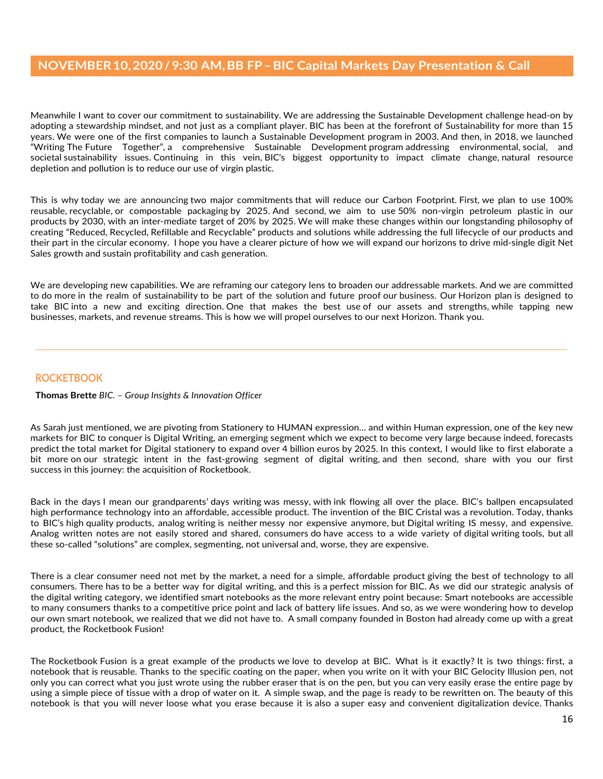Meanwhile I want to cover our commitment to sustainability. We are addressing the Sustainable Development challenge head-on by adopting a stewardship mindset, and not just as a compliant player. BIC has been at the forefront of Sustainability for more than 15 years. We were one of the first companies to launch a Sustainable Development program in 2003. And then, in 2018, we launched "Writing The Future Together", a comprehensive Sustainable Development program addressing environmental, social, and societal sustainability issues. Continuing in this vein, BIC's biggest opportunity to impact climate change, natural resource depletion and pollution is to reduce our use of virgin plastic.

This is why today we are announcing two major commitments that will reduce our Carbon Footprint. First, we plan to use 100% reusable, recyclable, or compostable packaging by 2025. And second, we aim to use 50% non-virgin petroleum plastic in our products by 2030, with an inter-mediate target of 20% by 2025. We will make these changes within our longstanding philosophy of creating "Reduced, Recycled, Refillable and Recyclable" products and solutions while addressing the full lifecycle of our products and their part in the circular economy.  I hope you have a clearer picture of how we will expand our horizons to drive mid-single digit Net Sales growth and sustain profitability and cash generation.  

We are developing new capabilities. We are reframing our category lens to broaden our addressable markets. And we are committed to do more in the realm of sustainability to be part of the solution and future proof our business. Our Horizon plan is designed to take BIC into a new and exciting direction. One that makes the best use of our assets and strengths, while tapping new businesses, markets, and revenue streams. This is how we will propel ourselves to our next Horizon. Thank you.

# **ROCKETBOOK**

### **Thomas Brette** *BIC. – Group Insights & Innovation Officer*

As Sarah just mentioned, we are pivoting from Stationery to HUMAN expression… and within Human expression, one of the key new markets for BIC to conquer is Digital Writing, an emerging segment which we expect to become very large because indeed, forecasts predict the total market for Digital stationery to expand over 4 billion euros by 2025. In this context, I would like to first elaborate a bit more on our strategic intent in the fast-growing segment of digital writing, and then second, share with you our first success in this journey: the acquisition of Rocketbook.

Back in the days I mean our grandparents' days writing was messy, with ink flowing all over the place. BIC's ballpen encapsulated high performance technology into an affordable, accessible product. The invention of the BIC Cristal was a revolution. Today, thanks to BIC's high quality products, analog writing is neither messy nor expensive anymore, but Digital writing IS messy, and expensive. Analog written notes are not easily stored and shared, consumers do have access to a wide variety of digital writing tools, but all these so-called "solutions" are complex, segmenting, not universal and, worse, they are expensive.

There is a clear consumer need not met by the market, a need for a simple, affordable product giving the best of technology to all consumers. There has to be a better way for digital writing, and this is a perfect mission for BIC. As we did our strategic analysis of the digital writing category, we identified smart notebooks as the more relevant entry point because: Smart notebooks are accessible to many consumers thanks to a competitive price point and lack of battery life issues. And so, as we were wondering how to develop our own smart notebook, we realized that we did not have to. A small company founded in Boston had already come up with a great product, the Rocketbook Fusion!

The Rocketbook Fusion is a great example of the products we love to develop at BIC. What is it exactly? It is two things: first, a notebook that is reusable. Thanks to the specific coating on the paper, when you write on it with your BIC Gelocity Illusion pen, not only you can correct what you just wrote using the rubber eraser that is on the pen, but you can very easily erase the entire page by using a simple piece of tissue with a drop of water on it. A simple swap, and the page is ready to be rewritten on. The beauty of this notebook is that you will never loose what you erase because it is also a super easy and convenient digitalization device. Thanks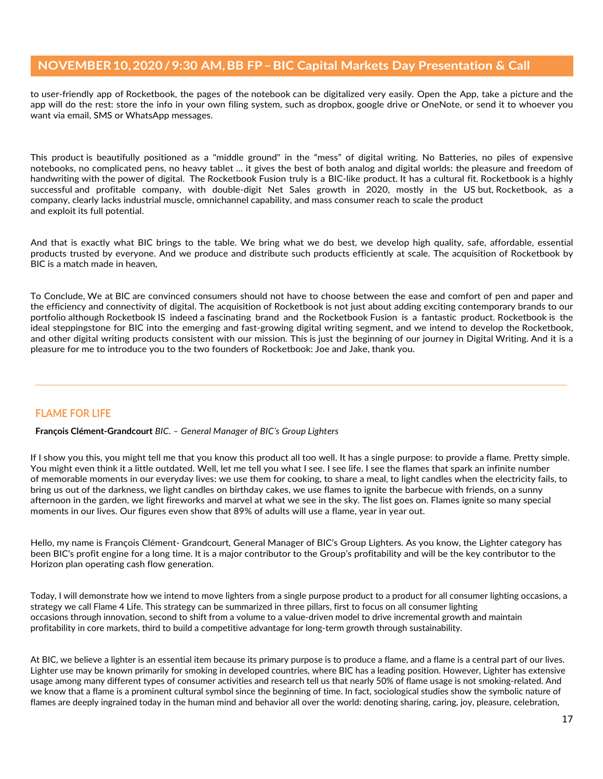to user-friendly app of Rocketbook, the pages of the notebook can be digitalized very easily. Open the App, take a picture and the app will do the rest: store the info in your own filing system, such as dropbox, google drive or OneNote, or send it to whoever you want via email, SMS or WhatsApp messages.

This product is beautifully positioned as a "middle ground" in the "mess" of digital writing. No Batteries, no piles of expensive notebooks, no complicated pens, no heavy tablet ... it gives the best of both analog and digital worlds: the pleasure and freedom of handwriting with the power of digital. The Rocketbook Fusion truly is a BIC-like product. It has a cultural fit. Rocketbook is a highly successful and profitable company, with double-digit Net Sales growth in 2020, mostly in the US but, Rocketbook, as a company, clearly lacks industrial muscle, omnichannel capability, and mass consumer reach to scale the product and exploit its full potential.

And that is exactly what BIC brings to the table. We bring what we do best, we develop high quality, safe, affordable, essential products trusted by everyone. And we produce and distribute such products efficiently at scale. The acquisition of Rocketbook by BIC is a match made in heaven,

To Conclude, We at BIC are convinced consumers should not have to choose between the ease and comfort of pen and paper and the efficiency and connectivity of digital. The acquisition of Rocketbook is not just about adding exciting contemporary brands to our portfolio although Rocketbook IS indeed a fascinating brand and the Rocketbook Fusion is a fantastic product. Rocketbook is the ideal steppingstone for BIC into the emerging and fast-growing digital writing segment, and we intend to develop the Rocketbook, and other digital writing products consistent with our mission. This is just the beginning of our journey in Digital Writing. And it is a pleasure for me to introduce you to the two founders of Rocketbook: Joe and Jake, thank you.

# **FLAME FOR LIFE**

**François Clément-Grandcourt** *BIC. – General Manager of BIC's Group Lighters*

If I show you this, you might tell me that you know this product all too well. It has a single purpose: to provide a flame. Pretty simple. You might even think it a little outdated. Well, let me tell you what I see. I see life. I see the flames that spark an infinite number of memorable moments in our everyday lives: we use them for cooking, to share a meal, to light candles when the electricity fails, to bring us out of the darkness, we light candles on birthday cakes, we use flames to ignite the barbecue with friends, on a sunny afternoon in the garden, we light fireworks and marvel at what we see in the sky. The list goes on. Flames ignite so many special moments in our lives. Our figures even show that 89% of adults will use a flame, year in year out.

Hello, my name is François Clément- Grandcourt, General Manager of BIC's Group Lighters. As you know, the Lighter category has been BIC's profit engine for a long time. It is a major contributor to the Group's profitability and will be the key contributor to the Horizon plan operating cash flow generation.

Today, I will demonstrate how we intend to move lighters from a single purpose product to a product for all consumer lighting occasions, a strategy we call Flame 4 Life. This strategy can be summarized in three pillars, first to focus on all consumer lighting occasions through innovation, second to shift from a volume to a value-driven model to drive incremental growth and maintain profitability in core markets, third to build a competitive advantage for long-term growth through sustainability.

At BIC, we believe a lighter is an essential item because its primary purpose is to produce a flame, and a flame is a central part of our lives. Lighter use may be known primarily for smoking in developed countries, where BIC has a leading position. However, Lighter has extensive usage among many different types of consumer activities and research tell us that nearly 50% of flame usage is not smoking-related. And we know that a flame is a prominent cultural symbol since the beginning of time. In fact, sociological studies show the symbolic nature of flames are deeply ingrained today in the human mind and behavior all over the world: denoting sharing, caring, joy, pleasure, celebration,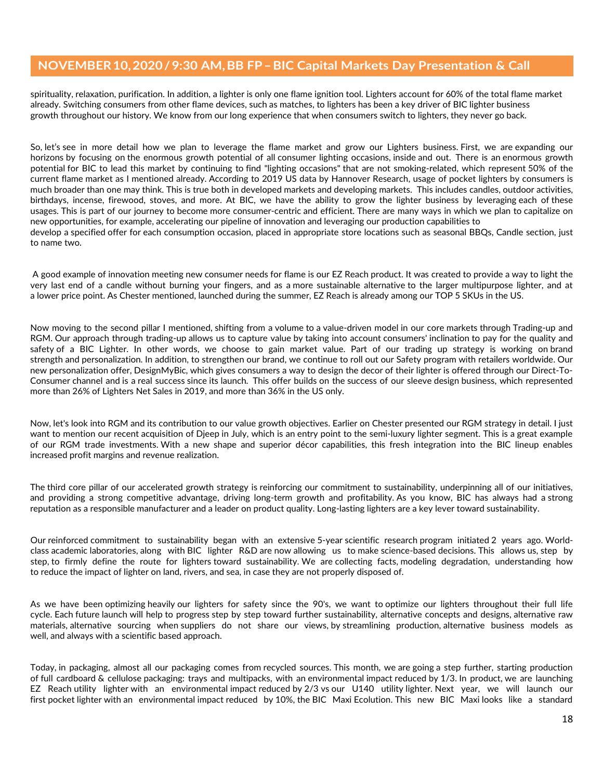spirituality, relaxation, purification. In addition, a lighter is only one flame ignition tool. Lighters account for 60% of the total flame market already. Switching consumers from other flame devices, such as matches, to lighters has been a key driver of BIC lighter business growth throughout our history. We know from our long experience that when consumers switch to lighters, they never go back.

So, let's see in more detail how we plan to leverage the flame market and grow our Lighters business. First, we are expanding our horizons by focusing on the enormous growth potential of all consumer lighting occasions, inside and out. There is an enormous growth potential for BIC to lead this market by continuing to find "lighting occasions" that are not smoking-related, which represent 50% of the current flame market as I mentioned already. According to 2019 US data by Hannover Research, usage of pocket lighters by consumers is much broader than one may think. This is true both in developed markets and developing markets. This includes candles, outdoor activities, birthdays, incense, firewood, stoves, and more. At BIC, we have the ability to grow the lighter business by leveraging each of these usages. This is part of our journey to become more consumer-centric and efficient. There are many ways in which we plan to capitalize on new opportunities, for example, accelerating our pipeline of innovation and leveraging our production capabilities to develop a specified offer for each consumption occasion, placed in appropriate store locations such as seasonal BBQs, Candle section, just to name two.

A good example of innovation meeting new consumer needs for flame is our EZ Reach product. It was created to provide a way to light the very last end of a candle without burning your fingers, and as a more sustainable alternative to the larger multipurpose lighter, and at a lower price point. As Chester mentioned, launched during the summer, EZ Reach is already among our TOP 5 SKUs in the US.

Now moving to the second pillar I mentioned, shifting from a volume to a value-driven model in our core markets through Trading-up and RGM. Our approach through trading-up allows us to capture value by taking into account consumers' inclination to pay for the quality and safety of a BIC Lighter. In other words, we choose to gain market value. Part of our trading up strategy is working on brand strength and personalization. In addition, to strengthen our brand, we continue to roll out our Safety program with retailers worldwide. Our new personalization offer, DesignMyBic, which gives consumers a way to design the decor of their lighter is offered through our Direct-To-Consumer channel and is a real success since its launch. This offer builds on the success of our sleeve design business, which represented more than 26% of Lighters Net Sales in 2019, and more than 36% in the US only.

Now, let's look into RGM and its contribution to our value growth objectives. Earlier on Chester presented our RGM strategy in detail. I just want to mention our recent acquisition of Djeep in July, which is an entry point to the semi-luxury lighter segment. This is a great example of our RGM trade investments. With a new shape and superior décor capabilities, this fresh integration into the BIC lineup enables increased profit margins and revenue realization.

The third core pillar of our accelerated growth strategy is reinforcing our commitment to sustainability, underpinning all of our initiatives, and providing a strong competitive advantage, driving long-term growth and profitability. As you know, BIC has always had a strong reputation as a responsible manufacturer and a leader on product quality. Long-lasting lighters are a key lever toward sustainability.

Our reinforced commitment to sustainability began with an extensive 5-year scientific research program initiated 2 years ago. Worldclass academic laboratories, along with BIC lighter R&D are now allowing us to make science-based decisions. This allows us, step by step, to firmly define the route for lighters toward sustainability. We are collecting facts, modeling degradation, understanding how to reduce the impact of lighter on land, rivers, and sea, in case they are not properly disposed of.

As we have been optimizing heavily our lighters for safety since the 90's, we want to optimize our lighters throughout their full life cycle. Each future launch will help to progress step by step toward further sustainability, alternative concepts and designs, alternative raw materials, alternative sourcing when suppliers do not share our views, by streamlining production, alternative business models as well, and always with a scientific based approach.

Today, in packaging, almost all our packaging comes from recycled sources. This month, we are going a step further, starting production of full cardboard & cellulose packaging: trays and multipacks, with an environmental impact reduced by 1/3. In product, we are launching EZ Reach utility lighter with an environmental impact reduced by 2/3 vs our U140 utility lighter. Next year, we will launch our first pocket lighter with an environmental impact reduced by 10%, the BIC Maxi Ecolution. This new BIC Maxi looks like a standard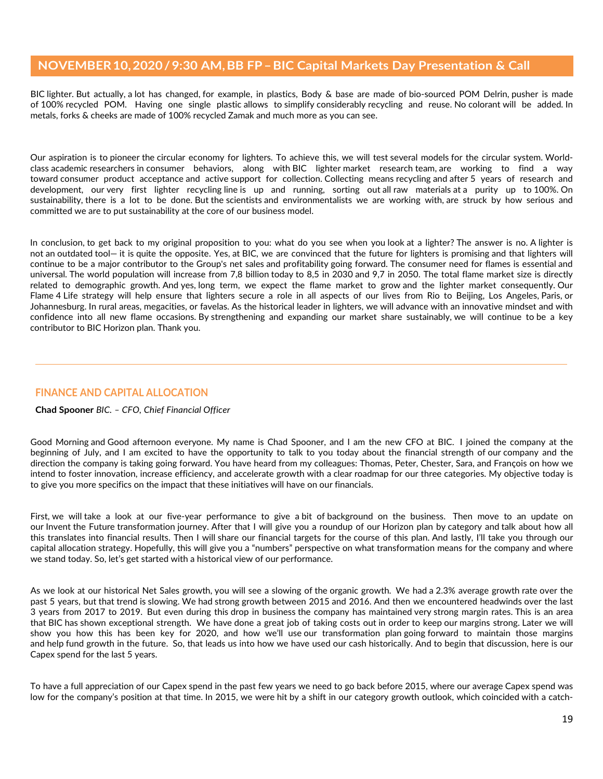BIC lighter. But actually, a lot has changed, for example, in plastics, Body & base are made of bio-sourced POM Delrin, pusher is made of 100% recycled POM. Having one single plastic allows to simplify considerably recycling and reuse. No colorant will be added. In metals, forks & cheeks are made of 100% recycled Zamak and much more as you can see.

Our aspiration is to pioneer the circular economy for lighters. To achieve this, we will test several models for the circular system. Worldclass academic researchers in consumer behaviors, along with BIC lighter market research team, are working to find a way toward consumer product acceptance and active support for collection. Collecting means recycling and after 5 years of research and development, our very first lighter recycling line is up and running, sorting out all raw materials at a purity up to 100%. On sustainability, there is a lot to be done. But the scientists and environmentalists we are working with, are struck by how serious and committed we are to put sustainability at the core of our business model.

In conclusion, to get back to my original proposition to you: what do you see when you look at a lighter? The answer is no. A lighter is not an outdated tool— it is quite the opposite. Yes, at BIC, we are convinced that the future for lighters is promising and that lighters will continue to be a major contributor to the Group's net sales and profitability going forward. The consumer need for flames is essential and universal. The world population will increase from 7,8 billion today to 8,5 in 2030 and 9,7 in 2050. The total flame market size is directly related to demographic growth. And yes, long term, we expect the flame market to grow and the lighter market consequently. Our Flame 4 Life strategy will help ensure that lighters secure a role in all aspects of our lives from Rio to Beijing, Los Angeles, Paris, or Johannesburg. In rural areas, megacities, or favelas. As the historical leader in lighters, we will advance with an innovative mindset and with confidence into all new flame occasions. By strengthening and expanding our market share sustainably, we will continue to be a key contributor to BIC Horizon plan. Thank you.

# **FINANCE AND CAPITAL ALLOCATION**

### **Chad Spooner** *BIC. – CFO, Chief Financial Officer*

Good Morning and Good afternoon everyone. My name is Chad Spooner, and I am the new CFO at BIC. I joined the company at the beginning of July, and I am excited to have the opportunity to talk to you today about the financial strength of our company and the direction the company is taking going forward. You have heard from my colleagues: Thomas, Peter, Chester, Sara, and François on how we intend to foster innovation, increase efficiency, and accelerate growth with a clear roadmap for our three categories. My objective today is to give you more specifics on the impact that these initiatives will have on our financials.

First, we will take a look at our five-year performance to give a bit of background on the business. Then move to an update on our Invent the Future transformation journey. After that I will give you a roundup of our Horizon plan by category and talk about how all this translates into financial results. Then I will share our financial targets for the course of this plan. And lastly, I'll take you through our capital allocation strategy. Hopefully, this will give you a "numbers" perspective on what transformation means for the company and where we stand today. So, let's get started with a historical view of our performance.

As we look at our historical Net Sales growth, you will see a slowing of the organic growth. We had a 2.3% average growth rate over the past 5 years, but that trend is slowing. We had strong growth between 2015 and 2016. And then we encountered headwinds over the last 3 years from 2017 to 2019. But even during this drop in business the company has maintained very strong margin rates. This is an area that BIC has shown exceptional strength. We have done a great job of taking costs out in order to keep our margins strong. Later we will show you how this has been key for 2020, and how we'll use our transformation plan going forward to maintain those margins and help fund growth in the future. So, that leads us into how we have used our cash historically. And to begin that discussion, here is our Capex spend for the last 5 years.

To have a full appreciation of our Capex spend in the past few years we need to go back before 2015, where our average Capex spend was low for the company's position at that time. In 2015, we were hit by a shift in our category growth outlook, which coincided with a catch-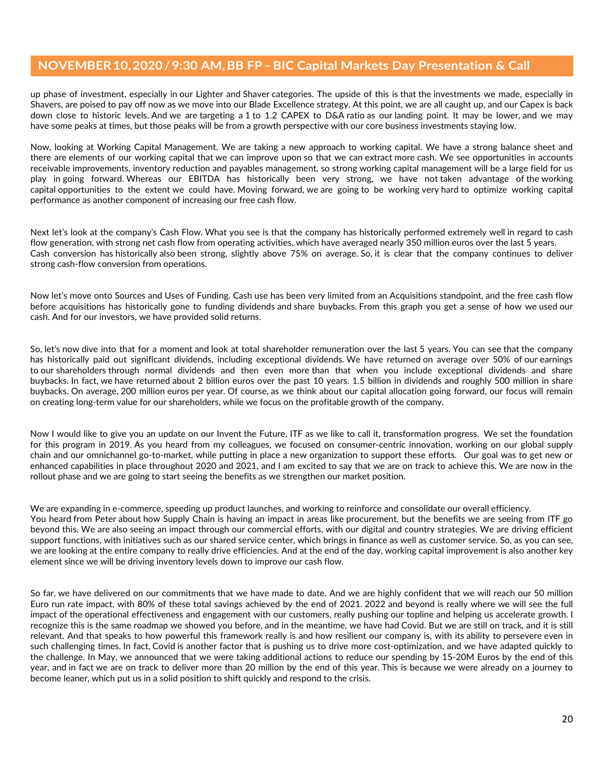up phase of investment, especially in our Lighter and Shaver categories. The upside of this is that the investments we made, especially in Shavers, are poised to pay off now as we move into our Blade Excellence strategy. At this point, we are all caught up, and our Capex is back down close to historic levels. And we are targeting a 1 to 1.2 CAPEX to D&A ratio as our landing point. It may be lower, and we may have some peaks at times, but those peaks will be from a growth perspective with our core business investments staying low.

Now, looking at Working Capital Management. We are taking a new approach to working capital. We have a strong balance sheet and there are elements of our working capital that we can improve upon so that we can extract more cash. We see opportunities in accounts receivable improvements, inventory reduction and payables management, so strong working capital management will be a large field for us play in going forward. Whereas our EBITDA has historically been very strong, we have not taken advantage of the working capital opportunities to the extent we could have. Moving forward, we are going to be working very hard to optimize working capital performance as another component of increasing our free cash flow.

Next let's look at the company's Cash Flow. What you see is that the company has historically performed extremely well in regard to cash flow generation, with strong net cash flow from operating activities, which have averaged nearly 350 million euros over the last 5 years. Cash conversion has historically also been strong, slightly above 75% on average. So, it is clear that the company continues to deliver strong cash-flow conversion from operations.

Now let's move onto Sources and Uses of Funding. Cash use has been very limited from an Acquisitions standpoint, and the free cash flow before acquisitions has historically gone to funding dividends and share buybacks. From this graph you get a sense of how we used our cash. And for our investors, we have provided solid returns.

So, let's now dive into that for a moment and look at total shareholder remuneration over the last 5 years. You can see that the company has historically paid out significant dividends, including exceptional dividends. We have returned on average over 50% of our earnings to our shareholders through normal dividends and then even more than that when you include exceptional dividends and share buybacks. In fact, we have returned about 2 billion euros over the past 10 years. 1.5 billion in dividends and roughly 500 million in share buybacks. On average, 200 million euros per year. Of course, as we think about our capital allocation going forward, our focus will remain on creating long-term value for our shareholders, while we focus on the profitable growth of the company.

Now I would like to give you an update on our Invent the Future, ITF as we like to call it, transformation progress. We set the foundation for this program in 2019. As you heard from my colleagues, we focused on consumer-centric innovation, working on our global supply chain and our omnichannel go-to-market, while putting in place a new organization to support these efforts. Our goal was to get new or enhanced capabilities in place throughout 2020 and 2021, and I am excited to say that we are on track to achieve this. We are now in the rollout phase and we are going to start seeing the benefits as we strengthen our market position.

We are expanding in e-commerce, speeding up product launches, and working to reinforce and consolidate our overall efficiency. You heard from Peter about how Supply Chain is having an impact in areas like procurement, but the benefits we are seeing from ITF go beyond this. We are also seeing an impact through our commercial efforts, with our digital and country strategies. We are driving efficient support functions, with initiatives such as our shared service center, which brings in finance as well as customer service. So, as you can see, we are looking at the entire company to really drive efficiencies. And at the end of the day, working capital improvement is also another key element since we will be driving inventory levels down to improve our cash flow.

So far, we have delivered on our commitments that we have made to date. And we are highly confident that we will reach our 50 million Euro run rate impact, with 80% of these total savings achieved by the end of 2021. 2022 and beyond is really where we will see the full impact of the operational effectiveness and engagement with our customers, really pushing our topline and helping us accelerate growth. I recognize this is the same roadmap we showed you before, and in the meantime, we have had Covid. But we are still on track, and it is still relevant. And that speaks to how powerful this framework really is and how resilient our company is, with its ability to persevere even in such challenging times. In fact, Covid is another factor that is pushing us to drive more cost-optimization, and we have adapted quickly to the challenge. In May, we announced that we were taking additional actions to reduce our spending by 15-20M Euros by the end of this year, and in fact we are on track to deliver more than 20 million by the end of this year. This is because we were already on a journey to become leaner, which put us in a solid position to shift quickly and respond to the crisis.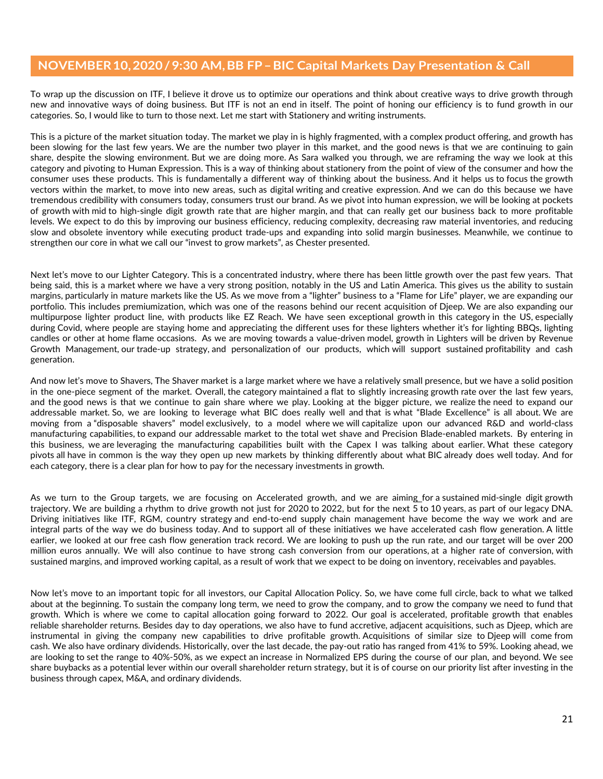To wrap up the discussion on ITF, I believe it drove us to optimize our operations and think about creative ways to drive growth through new and innovative ways of doing business. But ITF is not an end in itself. The point of honing our efficiency is to fund growth in our categories. So, I would like to turn to those next. Let me start with Stationery and writing instruments.

This is a picture of the market situation today. The market we play in is highly fragmented, with a complex product offering, and growth has been slowing for the last few years. We are the number two player in this market, and the good news is that we are continuing to gain share, despite the slowing environment. But we are doing more. As Sara walked you through, we are reframing the way we look at this category and pivoting to Human Expression. This is a way of thinking about stationery from the point of view of the consumer and how the consumer uses these products. This is fundamentally a different way of thinking about the business. And it helps us to focus the growth vectors within the market, to move into new areas, such as digital writing and creative expression. And we can do this because we have tremendous credibility with consumers today, consumers trust our brand. As we pivot into human expression, we will be looking at pockets of growth with mid to high-single digit growth rate that are higher margin, and that can really get our business back to more profitable levels. We expect to do this by improving our business efficiency, reducing complexity, decreasing raw material inventories, and reducing slow and obsolete inventory while executing product trade-ups and expanding into solid margin businesses. Meanwhile, we continue to strengthen our core in what we call our "invest to grow markets", as Chester presented.

Next let's move to our Lighter Category. This is a concentrated industry, where there has been little growth over the past few years. That being said, this is a market where we have a very strong position, notably in the US and Latin America. This gives us the ability to sustain margins, particularly in mature markets like the US. As we move from a "lighter" business to a "Flame for Life" player, we are expanding our portfolio. This includes premiumization, which was one of the reasons behind our recent acquisition of Djeep. We are also expanding our multipurpose lighter product line, with products like EZ Reach. We have seen exceptional growth in this category in the US, especially during Covid, where people are staying home and appreciating the different uses for these lighters whether it's for lighting BBQs, lighting candles or other at home flame occasions. As we are moving towards a value-driven model, growth in Lighters will be driven by Revenue Growth Management, our trade-up strategy, and personalization of our products, which will support sustained profitability and cash generation.

And now let's move to Shavers, The Shaver market is a large market where we have a relatively small presence, but we have a solid position in the one-piece segment of the market. Overall, the category maintained a flat to slightly increasing growth rate over the last few years, and the good news is that we continue to gain share where we play. Looking at the bigger picture, we realize the need to expand our addressable market. So, we are looking to leverage what BIC does really well and that is what "Blade Excellence" is all about. We are moving from a "disposable shavers" model exclusively, to a model where we will capitalize upon our advanced R&D and world-class manufacturing capabilities, to expand our addressable market to the total wet shave and Precision Blade-enabled markets. By entering in this business, we are leveraging the manufacturing capabilities built with the Capex I was talking about earlier. What these category pivots all have in common is the way they open up new markets by thinking differently about what BIC already does well today. And for each category, there is a clear plan for how to pay for the necessary investments in growth.

As we turn to the Group targets, we are focusing on Accelerated growth, and we are aiming for a sustained mid-single digit growth trajectory. We are building a rhythm to drive growth not just for 2020 to 2022, but for the next 5 to 10 years, as part of our legacy DNA. Driving initiatives like ITF, RGM, country strategy and end-to-end supply chain management have become the way we work and are integral parts of the way we do business today. And to support all of these initiatives we have accelerated cash flow generation. A little earlier, we looked at our free cash flow generation track record. We are looking to push up the run rate, and our target will be over 200 million euros annually. We will also continue to have strong cash conversion from our operations, at a higher rate of conversion, with sustained margins, and improved working capital, as a result of work that we expect to be doing on inventory, receivables and payables.

Now let's move to an important topic for all investors, our Capital Allocation Policy. So, we have come full circle, back to what we talked about at the beginning. To sustain the company long term, we need to grow the company, and to grow the company we need to fund that growth. Which is where we come to capital allocation going forward to 2022. Our goal is accelerated, profitable growth that enables reliable shareholder returns. Besides day to day operations, we also have to fund accretive, adjacent acquisitions, such as Djeep, which are instrumental in giving the company new capabilities to drive profitable growth. Acquisitions of similar size to Djeep will come from cash. We also have ordinary dividends. Historically, over the last decade, the pay-out ratio has ranged from 41% to 59%. Looking ahead, we are looking to set the range to 40%-50%, as we expect an increase in Normalized EPS during the course of our plan, and beyond. We see share buybacks as a potential lever within our overall shareholder return strategy, but it is of course on our priority list after investing in the business through capex, M&A, and ordinary dividends.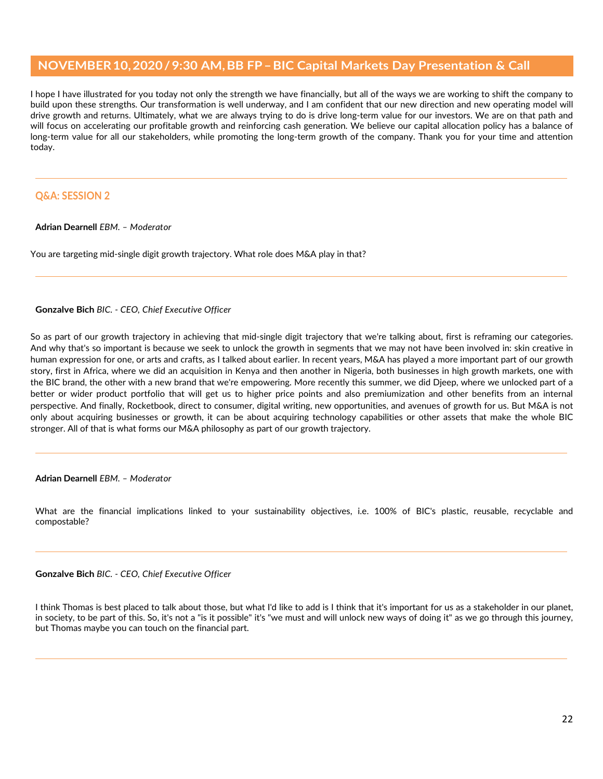I hope I have illustrated for you today not only the strength we have financially, but all of the ways we are working to shift the company to build upon these strengths. Our transformation is well underway, and I am confident that our new direction and new operating model will drive growth and returns. Ultimately, what we are always trying to do is drive long-term value for our investors. We are on that path and will focus on accelerating our profitable growth and reinforcing cash generation. We believe our capital allocation policy has a balance of long-term value for all our stakeholders, while promoting the long-term growth of the company. Thank you for your time and attention today.

# **Q&A: SESSION 2**

**Adrian Dearnell** *EBM. – Moderator*

You are targeting mid-single digit growth trajectory. What role does M&A play in that?

### **Gonzalve Bich** *BIC. - CEO, Chief Executive Officer*

So as part of our growth trajectory in achieving that mid-single digit trajectory that we're talking about, first is reframing our categories. And why that's so important is because we seek to unlock the growth in segments that we may not have been involved in: skin creative in human expression for one, or arts and crafts, as I talked about earlier. In recent years, M&A has played a more important part of our growth story, first in Africa, where we did an acquisition in Kenya and then another in Nigeria, both businesses in high growth markets, one with the BIC brand, the other with a new brand that we're empowering. More recently this summer, we did Djeep, where we unlocked part of a better or wider product portfolio that will get us to higher price points and also premiumization and other benefits from an internal perspective. And finally, Rocketbook, direct to consumer, digital writing, new opportunities, and avenues of growth for us. But M&A is not only about acquiring businesses or growth, it can be about acquiring technology capabilities or other assets that make the whole BIC stronger. All of that is what forms our M&A philosophy as part of our growth trajectory.

**Adrian Dearnell** *EBM. – Moderator*

What are the financial implications linked to your sustainability objectives, i.e. 100% of BIC's plastic, reusable, recyclable and compostable?

**Gonzalve Bich** *BIC. - CEO, Chief Executive Officer*

I think Thomas is best placed to talk about those, but what I'd like to add is I think that it's important for us as a stakeholder in our planet, in society, to be part of this. So, it's not a "is it possible" it's "we must and will unlock new ways of doing it" as we go through this journey, but Thomas maybe you can touch on the financial part.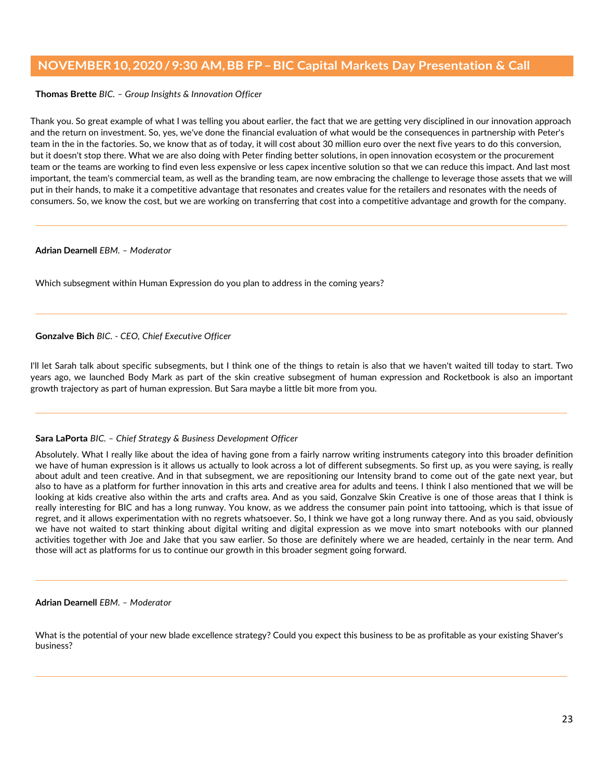## **Thomas Brette** *BIC. – Group Insights & Innovation Officer*

Thank you. So great example of what I was telling you about earlier, the fact that we are getting very disciplined in our innovation approach and the return on investment. So, yes, we've done the financial evaluation of what would be the consequences in partnership with Peter's team in the in the factories. So, we know that as of today, it will cost about 30 million euro over the next five years to do this conversion, but it doesn't stop there. What we are also doing with Peter finding better solutions, in open innovation ecosystem or the procurement team or the teams are working to find even less expensive or less capex incentive solution so that we can reduce this impact. And last most important, the team's commercial team, as well as the branding team, are now embracing the challenge to leverage those assets that we will put in their hands, to make it a competitive advantage that resonates and creates value for the retailers and resonates with the needs of consumers. So, we know the cost, but we are working on transferring that cost into a competitive advantage and growth for the company.

### **Adrian Dearnell** *EBM. – Moderator*

Which subsegment within Human Expression do you plan to address in the coming years?

**Gonzalve Bich** *BIC. - CEO, Chief Executive Officer*

I'll let Sarah talk about specific subsegments, but I think one of the things to retain is also that we haven't waited till today to start. Two years ago, we launched Body Mark as part of the skin creative subsegment of human expression and Rocketbook is also an important growth trajectory as part of human expression. But Sara maybe a little bit more from you.

### **Sara LaPorta** *BIC. – Chief Strategy & Business Development Officer*

Absolutely. What I really like about the idea of having gone from a fairly narrow writing instruments category into this broader definition we have of human expression is it allows us actually to look across a lot of different subsegments. So first up, as you were saying, is really about adult and teen creative. And in that subsegment, we are repositioning our Intensity brand to come out of the gate next year, but also to have as a platform for further innovation in this arts and creative area for adults and teens. I think I also mentioned that we will be looking at kids creative also within the arts and crafts area. And as you said, Gonzalve Skin Creative is one of those areas that I think is really interesting for BIC and has a long runway. You know, as we address the consumer pain point into tattooing, which is that issue of regret, and it allows experimentation with no regrets whatsoever. So, I think we have got a long runway there. And as you said, obviously we have not waited to start thinking about digital writing and digital expression as we move into smart notebooks with our planned activities together with Joe and Jake that you saw earlier. So those are definitely where we are headed, certainly in the near term. And those will act as platforms for us to continue our growth in this broader segment going forward.

#### **Adrian Dearnell** *EBM. – Moderator*

What is the potential of your new blade excellence strategy? Could you expect this business to be as profitable as your existing Shaver's business?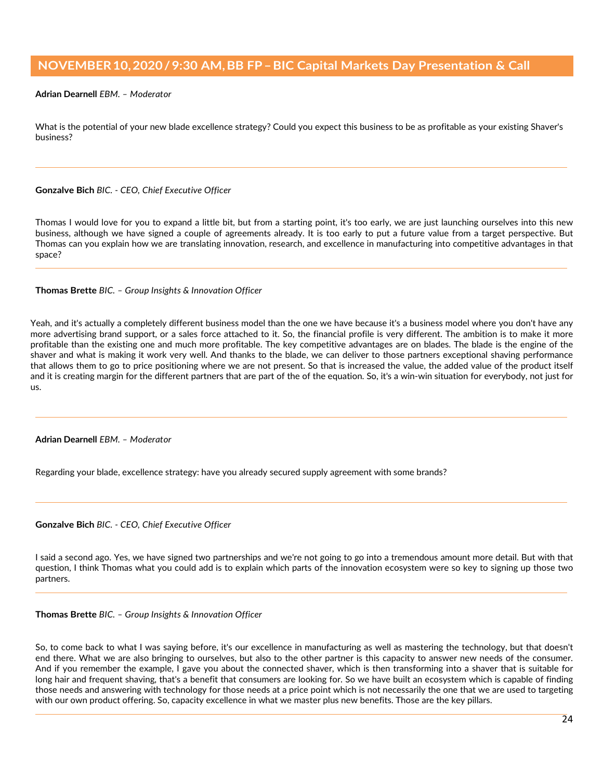### **Adrian Dearnell** *EBM. – Moderator*

What is the potential of your new blade excellence strategy? Could you expect this business to be as profitable as your existing Shaver's business?

### **Gonzalve Bich** *BIC. - CEO, Chief Executive Officer*

Thomas I would love for you to expand a little bit, but from a starting point, it's too early, we are just launching ourselves into this new business, although we have signed a couple of agreements already. It is too early to put a future value from a target perspective. But Thomas can you explain how we are translating innovation, research, and excellence in manufacturing into competitive advantages in that space?

### **Thomas Brette** *BIC. – Group Insights & Innovation Officer*

Yeah, and it's actually a completely different business model than the one we have because it's a business model where you don't have any more advertising brand support, or a sales force attached to it. So, the financial profile is very different. The ambition is to make it more profitable than the existing one and much more profitable. The key competitive advantages are on blades. The blade is the engine of the shaver and what is making it work very well. And thanks to the blade, we can deliver to those partners exceptional shaving performance that allows them to go to price positioning where we are not present. So that is increased the value, the added value of the product itself and it is creating margin for the different partners that are part of the of the equation. So, it's a win-win situation for everybody, not just for us.

**Adrian Dearnell** *EBM. – Moderator*

Regarding your blade, excellence strategy: have you already secured supply agreement with some brands?

**Gonzalve Bich** *BIC. - CEO, Chief Executive Officer*

I said a second ago. Yes, we have signed two partnerships and we're not going to go into a tremendous amount more detail. But with that question, I think Thomas what you could add is to explain which parts of the innovation ecosystem were so key to signing up those two partners.

### **Thomas Brette** *BIC. – Group Insights & Innovation Officer*

So, to come back to what I was saying before, it's our excellence in manufacturing as well as mastering the technology, but that doesn't end there. What we are also bringing to ourselves, but also to the other partner is this capacity to answer new needs of the consumer. And if you remember the example, I gave you about the connected shaver, which is then transforming into a shaver that is suitable for long hair and frequent shaving, that's a benefit that consumers are looking for. So we have built an ecosystem which is capable of finding those needs and answering with technology for those needs at a price point which is not necessarily the one that we are used to targeting with our own product offering. So, capacity excellence in what we master plus new benefits. Those are the key pillars.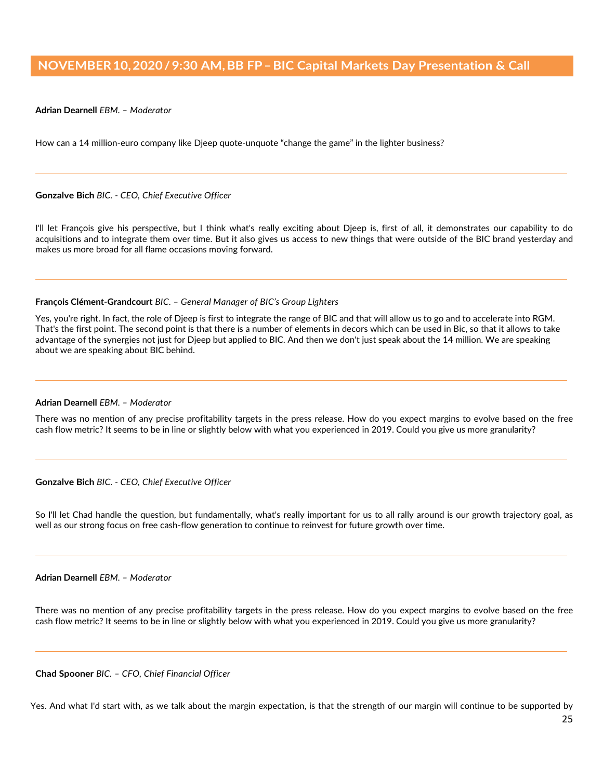### **Adrian Dearnell** *EBM. – Moderator*

How can a 14 million-euro company like Djeep quote-unquote "change the game" in the lighter business?

#### **Gonzalve Bich** *BIC. - CEO, Chief Executive Officer*

I'll let François give his perspective, but I think what's really exciting about Djeep is, first of all, it demonstrates our capability to do acquisitions and to integrate them over time. But it also gives us access to new things that were outside of the BIC brand yesterday and makes us more broad for all flame occasions moving forward.

#### **François Clément-Grandcourt** *BIC. – General Manager of BIC's Group Lighters*

Yes, you're right. In fact, the role of Djeep is first to integrate the range of BIC and that will allow us to go and to accelerate into RGM. That's the first point. The second point is that there is a number of elements in decors which can be used in Bic, so that it allows to take advantage of the synergies not just for Djeep but applied to BIC. And then we don't just speak about the 14 million. We are speaking about we are speaking about BIC behind.

#### **Adrian Dearnell** *EBM. – Moderator*

There was no mention of any precise profitability targets in the press release. How do you expect margins to evolve based on the free cash flow metric? It seems to be in line or slightly below with what you experienced in 2019. Could you give us more granularity?

### **Gonzalve Bich** *BIC. - CEO, Chief Executive Officer*

So I'll let Chad handle the question, but fundamentally, what's really important for us to all rally around is our growth trajectory goal, as well as our strong focus on free cash-flow generation to continue to reinvest for future growth over time.

### **Adrian Dearnell** *EBM. – Moderator*

There was no mention of any precise profitability targets in the press release. How do you expect margins to evolve based on the free cash flow metric? It seems to be in line or slightly below with what you experienced in 2019. Could you give us more granularity?

**Chad Spooner** *BIC. – CFO, Chief Financial Officer* 

Yes. And what I'd start with, as we talk about the margin expectation, is that the strength of our margin will continue to be supported by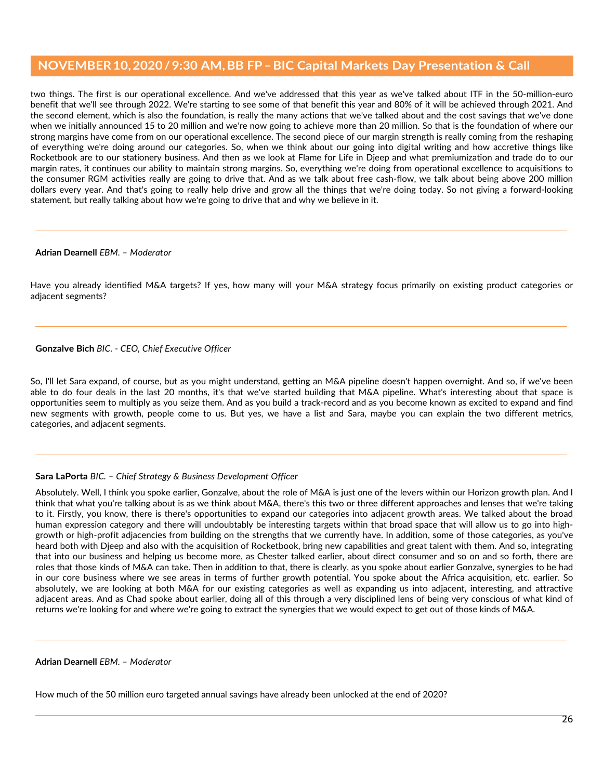two things. The first is our operational excellence. And we've addressed that this year as we've talked about ITF in the 50-million-euro benefit that we'll see through 2022. We're starting to see some of that benefit this year and 80% of it will be achieved through 2021. And the second element, which is also the foundation, is really the many actions that we've talked about and the cost savings that we've done when we initially announced 15 to 20 million and we're now going to achieve more than 20 million. So that is the foundation of where our strong margins have come from on our operational excellence. The second piece of our margin strength is really coming from the reshaping of everything we're doing around our categories. So, when we think about our going into digital writing and how accretive things like Rocketbook are to our stationery business. And then as we look at Flame for Life in Djeep and what premiumization and trade do to our margin rates, it continues our ability to maintain strong margins. So, everything we're doing from operational excellence to acquisitions to the consumer RGM activities really are going to drive that. And as we talk about free cash-flow, we talk about being above 200 million dollars every year. And that's going to really help drive and grow all the things that we're doing today. So not giving a forward-looking statement, but really talking about how we're going to drive that and why we believe in it.

### **Adrian Dearnell** *EBM. – Moderator*

Have you already identified M&A targets? If yes, how many will your M&A strategy focus primarily on existing product categories or adjacent segments?

### **Gonzalve Bich** *BIC. - CEO, Chief Executive Officer*

So, I'll let Sara expand, of course, but as you might understand, getting an M&A pipeline doesn't happen overnight. And so, if we've been able to do four deals in the last 20 months, it's that we've started building that M&A pipeline. What's interesting about that space is opportunities seem to multiply as you seize them. And as you build a track-record and as you become known as excited to expand and find new segments with growth, people come to us. But yes, we have a list and Sara, maybe you can explain the two different metrics, categories, and adjacent segments.

### **Sara LaPorta** *BIC. – Chief Strategy & Business Development Officer*

Absolutely. Well, I think you spoke earlier, Gonzalve, about the role of M&A is just one of the levers within our Horizon growth plan. And I think that what you're talking about is as we think about M&A, there's this two or three different approaches and lenses that we're taking to it. Firstly, you know, there is there's opportunities to expand our categories into adjacent growth areas. We talked about the broad human expression category and there will undoubtably be interesting targets within that broad space that will allow us to go into highgrowth or high-profit adjacencies from building on the strengths that we currently have. In addition, some of those categories, as you've heard both with Djeep and also with the acquisition of Rocketbook, bring new capabilities and great talent with them. And so, integrating that into our business and helping us become more, as Chester talked earlier, about direct consumer and so on and so forth, there are roles that those kinds of M&A can take. Then in addition to that, there is clearly, as you spoke about earlier Gonzalve, synergies to be had in our core business where we see areas in terms of further growth potential. You spoke about the Africa acquisition, etc. earlier. So absolutely, we are looking at both M&A for our existing categories as well as expanding us into adjacent, interesting, and attractive adjacent areas. And as Chad spoke about earlier, doing all of this through a very disciplined lens of being very conscious of what kind of returns we're looking for and where we're going to extract the synergies that we would expect to get out of those kinds of M&A.

### **Adrian Dearnell** *EBM. – Moderator*

How much of the 50 million euro targeted annual savings have already been unlocked at the end of 2020?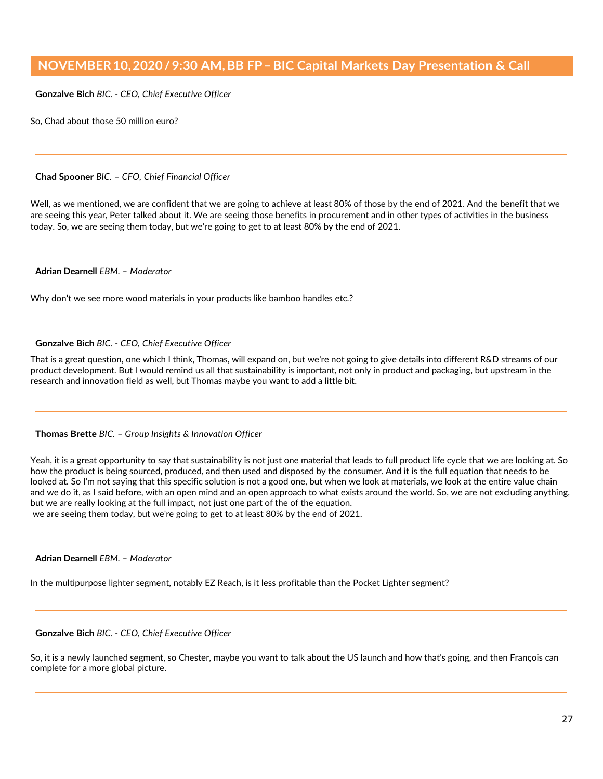**Gonzalve Bich** *BIC. - CEO, Chief Executive Officer*

So, Chad about those 50 million euro?

### **Chad Spooner** *BIC. – CFO, Chief Financial Officer*

Well, as we mentioned, we are confident that we are going to achieve at least 80% of those by the end of 2021. And the benefit that we are seeing this year, Peter talked about it. We are seeing those benefits in procurement and in other types of activities in the business today. So, we are seeing them today, but we're going to get to at least 80% by the end of 2021.

## **Adrian Dearnell** *EBM. – Moderator*

Why don't we see more wood materials in your products like bamboo handles etc.?

### **Gonzalve Bich** *BIC. - CEO, Chief Executive Officer*

That is a great question, one which I think, Thomas, will expand on, but we're not going to give details into different R&D streams of our product development. But I would remind us all that sustainability is important, not only in product and packaging, but upstream in the research and innovation field as well, but Thomas maybe you want to add a little bit.

#### **Thomas Brette** *BIC. – Group Insights & Innovation Officer*

Yeah, it is a great opportunity to say that sustainability is not just one material that leads to full product life cycle that we are looking at. So how the product is being sourced, produced, and then used and disposed by the consumer. And it is the full equation that needs to be looked at. So I'm not saying that this specific solution is not a good one, but when we look at materials, we look at the entire value chain and we do it, as I said before, with an open mind and an open approach to what exists around the world. So, we are not excluding anything, but we are really looking at the full impact, not just one part of the of the equation. we are seeing them today, but we're going to get to at least 80% by the end of 2021.

#### **Adrian Dearnell** *EBM. – Moderator*

In the multipurpose lighter segment, notably EZ Reach, is it less profitable than the Pocket Lighter segment?

### **Gonzalve Bich** *BIC. - CEO, Chief Executive Officer*

So, it is a newly launched segment, so Chester, maybe you want to talk about the US launch and how that's going, and then François can complete for a more global picture.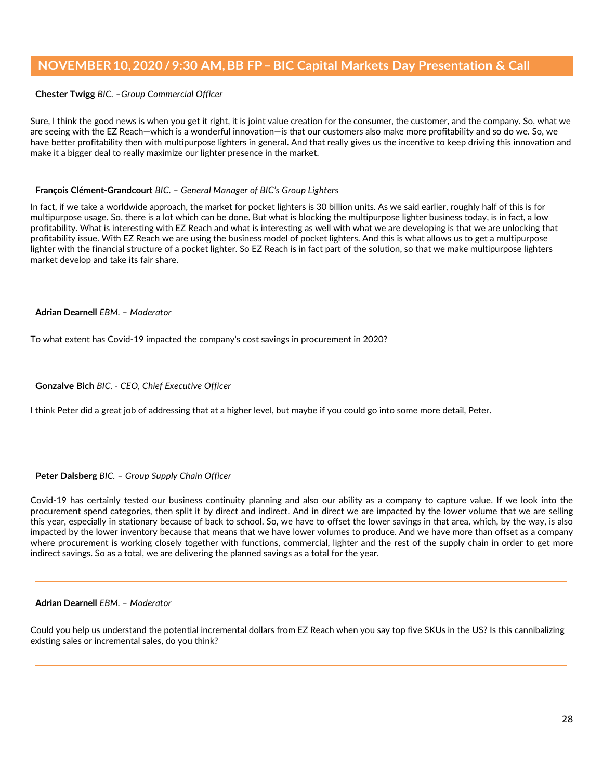### **Chester Twigg** *BIC. –Group Commercial Officer*

Sure, I think the good news is when you get it right, it is joint value creation for the consumer, the customer, and the company. So, what we are seeing with the EZ Reach—which is a wonderful innovation—is that our customers also make more profitability and so do we. So, we have better profitability then with multipurpose lighters in general. And that really gives us the incentive to keep driving this innovation and make it a bigger deal to really maximize our lighter presence in the market.

### **François Clément-Grandcourt** *BIC. – General Manager of BIC's Group Lighters*

In fact, if we take a worldwide approach, the market for pocket lighters is 30 billion units. As we said earlier, roughly half of this is for multipurpose usage. So, there is a lot which can be done. But what is blocking the multipurpose lighter business today, is in fact, a low profitability. What is interesting with EZ Reach and what is interesting as well with what we are developing is that we are unlocking that profitability issue. With EZ Reach we are using the business model of pocket lighters. And this is what allows us to get a multipurpose lighter with the financial structure of a pocket lighter. So EZ Reach is in fact part of the solution, so that we make multipurpose lighters market develop and take its fair share.

### **Adrian Dearnell** *EBM. – Moderator*

To what extent has Covid-19 impacted the company's cost savings in procurement in 2020?

### **Gonzalve Bich** *BIC. - CEO, Chief Executive Officer*

I think Peter did a great job of addressing that at a higher level, but maybe if you could go into some more detail, Peter.

#### **Peter Dalsberg** *BIC. – Group Supply Chain Officer*

Covid-19 has certainly tested our business continuity planning and also our ability as a company to capture value. If we look into the procurement spend categories, then split it by direct and indirect. And in direct we are impacted by the lower volume that we are selling this year, especially in stationary because of back to school. So, we have to offset the lower savings in that area, which, by the way, is also impacted by the lower inventory because that means that we have lower volumes to produce. And we have more than offset as a company where procurement is working closely together with functions, commercial, lighter and the rest of the supply chain in order to get more indirect savings. So as a total, we are delivering the planned savings as a total for the year.

#### **Adrian Dearnell** *EBM. – Moderator*

Could you help us understand the potential incremental dollars from EZ Reach when you say top five SKUs in the US? Is this cannibalizing existing sales or incremental sales, do you think?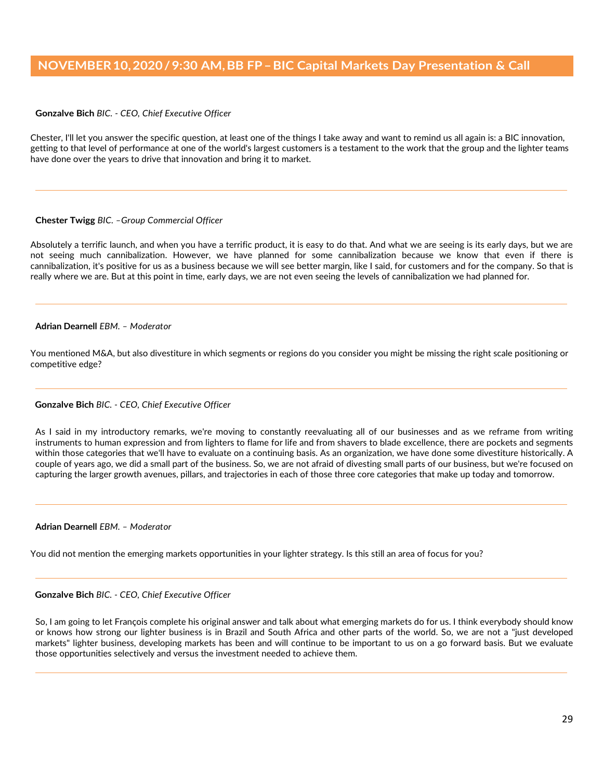**Gonzalve Bich** *BIC. - CEO, Chief Executive Officer*

Chester, I'll let you answer the specific question, at least one of the things I take away and want to remind us all again is: a BIC innovation, getting to that level of performance at one of the world's largest customers is a testament to the work that the group and the lighter teams have done over the years to drive that innovation and bring it to market.

### **Chester Twigg** *BIC. –Group Commercial Officer*

Absolutely a terrific launch, and when you have a terrific product, it is easy to do that. And what we are seeing is its early days, but we are not seeing much cannibalization. However, we have planned for some cannibalization because we know that even if there is cannibalization, it's positive for us as a business because we will see better margin, like I said, for customers and for the company. So that is really where we are. But at this point in time, early days, we are not even seeing the levels of cannibalization we had planned for.

#### **Adrian Dearnell** *EBM. – Moderator*

You mentioned M&A, but also divestiture in which segments or regions do you consider you might be missing the right scale positioning or competitive edge?

### **Gonzalve Bich** *BIC. - CEO, Chief Executive Officer*

As I said in my introductory remarks, we're moving to constantly reevaluating all of our businesses and as we reframe from writing instruments to human expression and from lighters to flame for life and from shavers to blade excellence, there are pockets and segments within those categories that we'll have to evaluate on a continuing basis. As an organization, we have done some divestiture historically. A couple of years ago, we did a small part of the business. So, we are not afraid of divesting small parts of our business, but we're focused on capturing the larger growth avenues, pillars, and trajectories in each of those three core categories that make up today and tomorrow.

#### **Adrian Dearnell** *EBM. – Moderator*

You did not mention the emerging markets opportunities in your lighter strategy. Is this still an area of focus for you?

# **Gonzalve Bich** *BIC. - CEO, Chief Executive Officer*

So, I am going to let François complete his original answer and talk about what emerging markets do for us. I think everybody should know or knows how strong our lighter business is in Brazil and South Africa and other parts of the world. So, we are not a "just developed markets" lighter business, developing markets has been and will continue to be important to us on a go forward basis. But we evaluate those opportunities selectively and versus the investment needed to achieve them.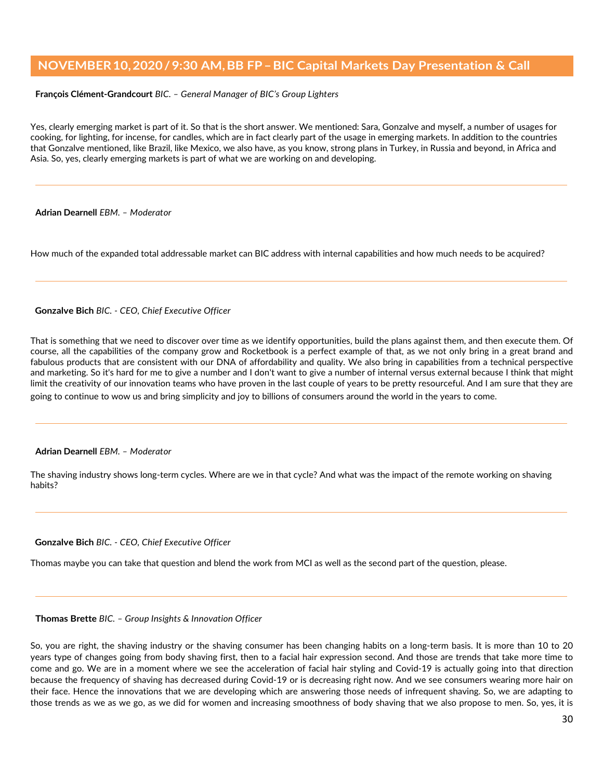**François Clément-Grandcourt** *BIC. – General Manager of BIC's Group Lighters*

Yes, clearly emerging market is part of it. So that is the short answer. We mentioned: Sara, Gonzalve and myself, a number of usages for cooking, for lighting, for incense, for candles, which are in fact clearly part of the usage in emerging markets. In addition to the countries that Gonzalve mentioned, like Brazil, like Mexico, we also have, as you know, strong plans in Turkey, in Russia and beyond, in Africa and Asia. So, yes, clearly emerging markets is part of what we are working on and developing.

#### **Adrian Dearnell** *EBM. – Moderator*

How much of the expanded total addressable market can BIC address with internal capabilities and how much needs to be acquired?

### **Gonzalve Bich** *BIC. - CEO, Chief Executive Officer*

That is something that we need to discover over time as we identify opportunities, build the plans against them, and then execute them. Of course, all the capabilities of the company grow and Rocketbook is a perfect example of that, as we not only bring in a great brand and fabulous products that are consistent with our DNA of affordability and quality. We also bring in capabilities from a technical perspective and marketing. So it's hard for me to give a number and I don't want to give a number of internal versus external because I think that might limit the creativity of our innovation teams who have proven in the last couple of years to be pretty resourceful. And I am sure that they are going to continue to wow us and bring simplicity and joy to billions of consumers around the world in the years to come.

#### **Adrian Dearnell** *EBM. – Moderator*

The shaving industry shows long-term cycles. Where are we in that cycle? And what was the impact of the remote working on shaving habits?

**Gonzalve Bich** *BIC. - CEO, Chief Executive Officer*

Thomas maybe you can take that question and blend the work from MCI as well as the second part of the question, please.

### **Thomas Brette** *BIC. – Group Insights & Innovation Officer*

So, you are right, the shaving industry or the shaving consumer has been changing habits on a long-term basis. It is more than 10 to 20 years type of changes going from body shaving first, then to a facial hair expression second. And those are trends that take more time to come and go. We are in a moment where we see the acceleration of facial hair styling and Covid-19 is actually going into that direction because the frequency of shaving has decreased during Covid-19 or is decreasing right now. And we see consumers wearing more hair on their face. Hence the innovations that we are developing which are answering those needs of infrequent shaving. So, we are adapting to those trends as we as we go, as we did for women and increasing smoothness of body shaving that we also propose to men. So, yes, it is